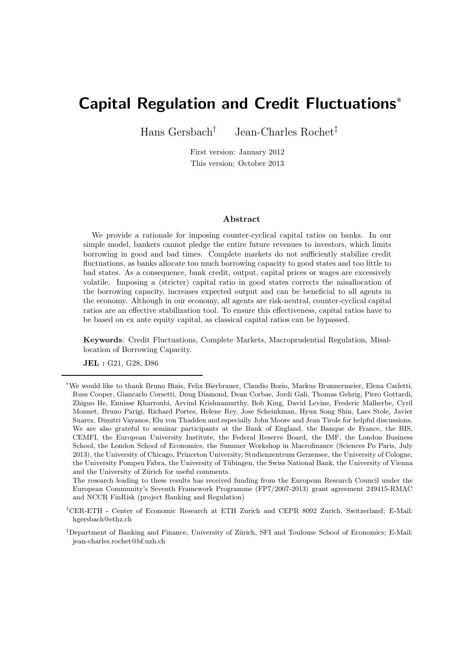# Capital Regulation and Credit Fluctuations<sup>∗</sup>

Hans Gersbach† Jean-Charles Rochet‡

First version: January 2012 This version: October 2013

#### Abstract

We provide a rationale for imposing counter-cyclical capital ratios on banks. In our simple model, bankers cannot pledge the entire future revenues to investors, which limits borrowing in good and bad times. Complete markets do not sufficiently stabilize credit fluctuations, as banks allocate too much borrowing capacity to good states and too little to bad states. As a consequence, bank credit, output, capital prices or wages are excessively volatile. Imposing a (stricter) capital ratio in good states corrects the misallocation of the borrowing capacity, increases expected output and can be beneficial to all agents in the economy. Although in our economy, all agents are risk-neutral, counter-cyclical capital ratios are an effective stabilization tool. To ensure this effectiveness, capital ratios have to be based on ex ante equity capital, as classical capital ratios can be bypassed.

Keywords: Credit Fluctuations, Complete Markets, Macroprudential Regulation, Misallocation of Borrowing Capacity.

JEL : G21, G28, D86

The research leading to these results has received funding from the European Research Council under the European Community's Seventh Framework Programme (FP7/2007-2013) grant agreement 249415-RMAC and NCCR FinRisk (project Banking and Regulation)

<sup>∗</sup>We would like to thank Bruno Biais, Felix Bierbrauer, Claudio Borio, Markus Brunnermeier, Elena Carletti, Russ Cooper, Giancarlo Corsetti, Doug Diamond, Dean Corbae, Jordi Gali, Thomas Gehrig, Piero Gottardi, Zhiguo He, Ennisse Kharroubi, Arvind Krishnamurthy, Bob King, David Levine, Frederic Malherbe, Cyril Monnet, Bruno Parigi, Richard Portes, Helene Rey, Jose Scheinkman, Hyun Song Shin, Lars Stole, Javier Suarez, Dimitri Vayanos, Elu von Thadden and especially John Moore and Jean Tirole for helpful discussions. We are also grateful to seminar participants at the Bank of England, the Banque de France, the BIS, CEMFI, the European University Institute, the Federal Reserve Board, the IMF, the London Business School, the London School of Economics, the Summer Workshop in Macrofinance (Sciences Po Paris, July 2013), the University of Chicago, Princeton University, Studienzentrum Gerzensee, the University of Cologne, the University Pompeu Fabra, the University of Tübingen, the Swiss National Bank, the University of Vienna and the University of Zürich for useful comments.

<sup>†</sup>CER-ETH - Center of Economic Research at ETH Zurich and CEPR 8092 Zurich, Switzerland; E-Mail: hgersbach@ethz.ch

 $\textsuperscript{\text{#}{}$ Department of Banking and Finance, University of Zürich, SFI and Toulouse School of Economics; E-Mail: jean-charles.rochet@bf.uzh.ch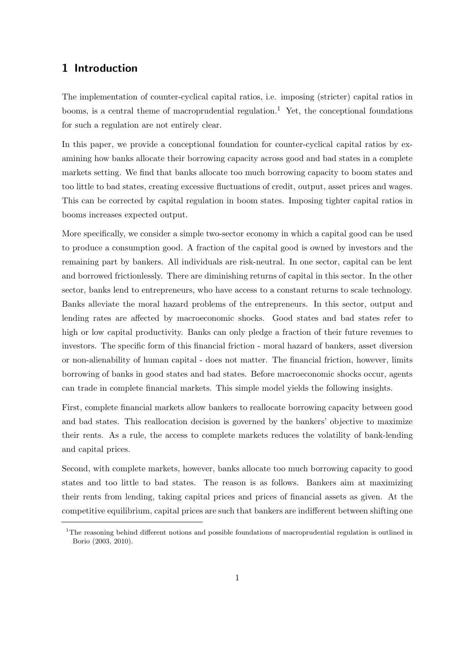# 1 Introduction

The implementation of counter-cyclical capital ratios, i.e. imposing (stricter) capital ratios in booms, is a central theme of macroprudential regulation.<sup>1</sup> Yet, the conceptional foundations for such a regulation are not entirely clear.

In this paper, we provide a conceptional foundation for counter-cyclical capital ratios by examining how banks allocate their borrowing capacity across good and bad states in a complete markets setting. We find that banks allocate too much borrowing capacity to boom states and too little to bad states, creating excessive fluctuations of credit, output, asset prices and wages. This can be corrected by capital regulation in boom states. Imposing tighter capital ratios in booms increases expected output.

More specifically, we consider a simple two-sector economy in which a capital good can be used to produce a consumption good. A fraction of the capital good is owned by investors and the remaining part by bankers. All individuals are risk-neutral. In one sector, capital can be lent and borrowed frictionlessly. There are diminishing returns of capital in this sector. In the other sector, banks lend to entrepreneurs, who have access to a constant returns to scale technology. Banks alleviate the moral hazard problems of the entrepreneurs. In this sector, output and lending rates are affected by macroeconomic shocks. Good states and bad states refer to high or low capital productivity. Banks can only pledge a fraction of their future revenues to investors. The specific form of this financial friction - moral hazard of bankers, asset diversion or non-alienability of human capital - does not matter. The financial friction, however, limits borrowing of banks in good states and bad states. Before macroeconomic shocks occur, agents can trade in complete financial markets. This simple model yields the following insights.

First, complete financial markets allow bankers to reallocate borrowing capacity between good and bad states. This reallocation decision is governed by the bankers' objective to maximize their rents. As a rule, the access to complete markets reduces the volatility of bank-lending and capital prices.

Second, with complete markets, however, banks allocate too much borrowing capacity to good states and too little to bad states. The reason is as follows. Bankers aim at maximizing their rents from lending, taking capital prices and prices of financial assets as given. At the competitive equilibrium, capital prices are such that bankers are indifferent between shifting one

<sup>&</sup>lt;sup>1</sup>The reasoning behind different notions and possible foundations of macroprudential regulation is outlined in Borio (2003, 2010).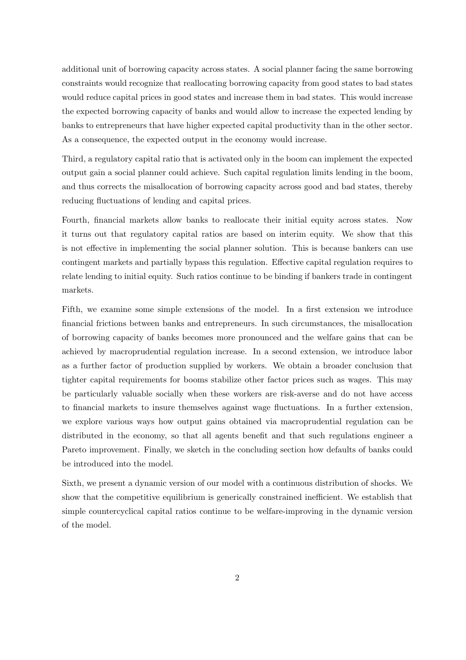additional unit of borrowing capacity across states. A social planner facing the same borrowing constraints would recognize that reallocating borrowing capacity from good states to bad states would reduce capital prices in good states and increase them in bad states. This would increase the expected borrowing capacity of banks and would allow to increase the expected lending by banks to entrepreneurs that have higher expected capital productivity than in the other sector. As a consequence, the expected output in the economy would increase.

Third, a regulatory capital ratio that is activated only in the boom can implement the expected output gain a social planner could achieve. Such capital regulation limits lending in the boom, and thus corrects the misallocation of borrowing capacity across good and bad states, thereby reducing fluctuations of lending and capital prices.

Fourth, financial markets allow banks to reallocate their initial equity across states. Now it turns out that regulatory capital ratios are based on interim equity. We show that this is not effective in implementing the social planner solution. This is because bankers can use contingent markets and partially bypass this regulation. Effective capital regulation requires to relate lending to initial equity. Such ratios continue to be binding if bankers trade in contingent markets.

Fifth, we examine some simple extensions of the model. In a first extension we introduce financial frictions between banks and entrepreneurs. In such circumstances, the misallocation of borrowing capacity of banks becomes more pronounced and the welfare gains that can be achieved by macroprudential regulation increase. In a second extension, we introduce labor as a further factor of production supplied by workers. We obtain a broader conclusion that tighter capital requirements for booms stabilize other factor prices such as wages. This may be particularly valuable socially when these workers are risk-averse and do not have access to financial markets to insure themselves against wage fluctuations. In a further extension, we explore various ways how output gains obtained via macroprudential regulation can be distributed in the economy, so that all agents benefit and that such regulations engineer a Pareto improvement. Finally, we sketch in the concluding section how defaults of banks could be introduced into the model.

Sixth, we present a dynamic version of our model with a continuous distribution of shocks. We show that the competitive equilibrium is generically constrained inefficient. We establish that simple countercyclical capital ratios continue to be welfare-improving in the dynamic version of the model.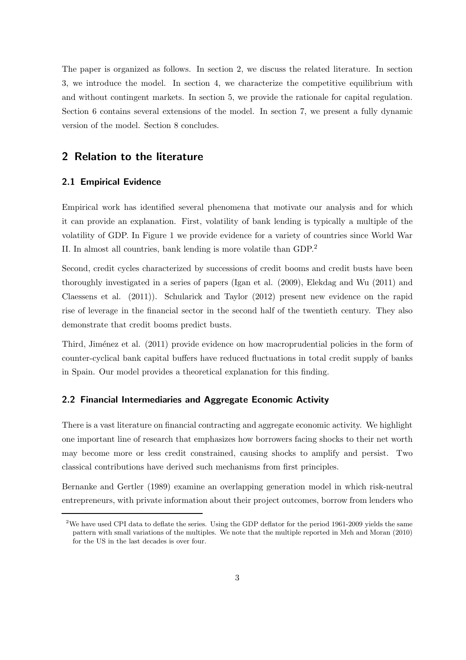The paper is organized as follows. In section 2, we discuss the related literature. In section 3, we introduce the model. In section 4, we characterize the competitive equilibrium with and without contingent markets. In section 5, we provide the rationale for capital regulation. Section 6 contains several extensions of the model. In section 7, we present a fully dynamic version of the model. Section 8 concludes.

# 2 Relation to the literature

#### 2.1 Empirical Evidence

Empirical work has identified several phenomena that motivate our analysis and for which it can provide an explanation. First, volatility of bank lending is typically a multiple of the volatility of GDP. In Figure 1 we provide evidence for a variety of countries since World War II. In almost all countries, bank lending is more volatile than GDP.<sup>2</sup>

Second, credit cycles characterized by successions of credit booms and credit busts have been thoroughly investigated in a series of papers (Igan et al. (2009), Elekdag and Wu (2011) and Claessens et al. (2011)). Schularick and Taylor (2012) present new evidence on the rapid rise of leverage in the financial sector in the second half of the twentieth century. They also demonstrate that credit booms predict busts.

Third, Jiménez et al. (2011) provide evidence on how macroprudential policies in the form of counter-cyclical bank capital buffers have reduced fluctuations in total credit supply of banks in Spain. Our model provides a theoretical explanation for this finding.

#### 2.2 Financial Intermediaries and Aggregate Economic Activity

There is a vast literature on financial contracting and aggregate economic activity. We highlight one important line of research that emphasizes how borrowers facing shocks to their net worth may become more or less credit constrained, causing shocks to amplify and persist. Two classical contributions have derived such mechanisms from first principles.

Bernanke and Gertler (1989) examine an overlapping generation model in which risk-neutral entrepreneurs, with private information about their project outcomes, borrow from lenders who

<sup>2</sup>We have used CPI data to deflate the series. Using the GDP deflator for the period 1961-2009 yields the same pattern with small variations of the multiples. We note that the multiple reported in Meh and Moran (2010) for the US in the last decades is over four.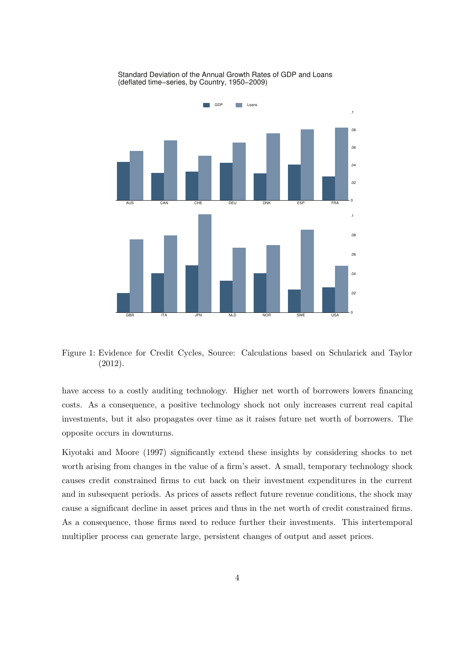

Standard Deviation of the Annual Growth Rates of GDP and Loans (deflated time−series, by Country, 1950−2009)

Figure 1: Evidence for Credit Cycles, Source: Calculations based on Schularick and Taylor (2012).

have access to a costly auditing technology. Higher net worth of borrowers lowers financing costs. As a consequence, a positive technology shock not only increases current real capital investments, but it also propagates over time as it raises future net worth of borrowers. The opposite occurs in downturns.

Kiyotaki and Moore (1997) significantly extend these insights by considering shocks to net worth arising from changes in the value of a firm's asset. A small, temporary technology shock causes credit constrained firms to cut back on their investment expenditures in the current and in subsequent periods. As prices of assets reflect future revenue conditions, the shock may cause a significant decline in asset prices and thus in the net worth of credit constrained firms. As a consequence, those firms need to reduce further their investments. This intertemporal multiplier process can generate large, persistent changes of output and asset prices.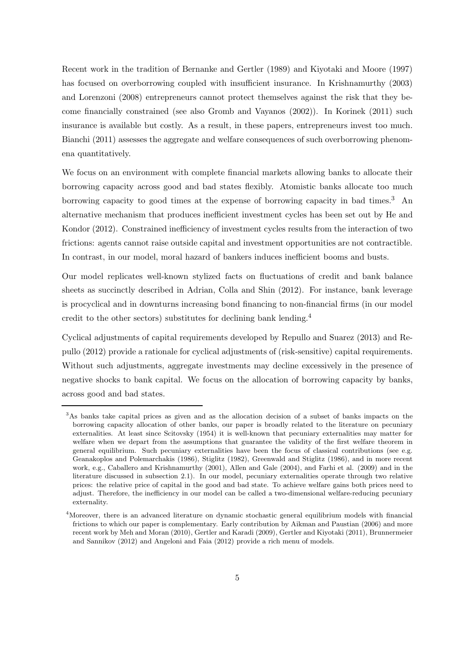Recent work in the tradition of Bernanke and Gertler (1989) and Kiyotaki and Moore (1997) has focused on overborrowing coupled with insufficient insurance. In Krishnamurthy (2003) and Lorenzoni (2008) entrepreneurs cannot protect themselves against the risk that they become financially constrained (see also Gromb and Vayanos (2002)). In Korinek (2011) such insurance is available but costly. As a result, in these papers, entrepreneurs invest too much. Bianchi (2011) assesses the aggregate and welfare consequences of such overborrowing phenomena quantitatively.

We focus on an environment with complete financial markets allowing banks to allocate their borrowing capacity across good and bad states flexibly. Atomistic banks allocate too much borrowing capacity to good times at the expense of borrowing capacity in bad times.<sup>3</sup> An alternative mechanism that produces inefficient investment cycles has been set out by He and Kondor (2012). Constrained inefficiency of investment cycles results from the interaction of two frictions: agents cannot raise outside capital and investment opportunities are not contractible. In contrast, in our model, moral hazard of bankers induces inefficient booms and busts.

Our model replicates well-known stylized facts on fluctuations of credit and bank balance sheets as succinctly described in Adrian, Colla and Shin (2012). For instance, bank leverage is procyclical and in downturns increasing bond financing to non-financial firms (in our model credit to the other sectors) substitutes for declining bank lending.<sup>4</sup>

Cyclical adjustments of capital requirements developed by Repullo and Suarez (2013) and Repullo (2012) provide a rationale for cyclical adjustments of (risk-sensitive) capital requirements. Without such adjustments, aggregate investments may decline excessively in the presence of negative shocks to bank capital. We focus on the allocation of borrowing capacity by banks, across good and bad states.

<sup>3</sup>As banks take capital prices as given and as the allocation decision of a subset of banks impacts on the borrowing capacity allocation of other banks, our paper is broadly related to the literature on pecuniary externalities. At least since Scitovsky (1954) it is well-known that pecuniary externalities may matter for welfare when we depart from the assumptions that guarantee the validity of the first welfare theorem in general equilibrium. Such pecuniary externalities have been the focus of classical contributions (see e.g. Geanakoplos and Polemarchakis (1986), Stiglitz (1982), Greenwald and Stiglitz (1986), and in more recent work, e.g., Caballero and Krishnamurthy (2001), Allen and Gale (2004), and Farhi et al. (2009) and in the literature discussed in subsection 2.1). In our model, pecuniary externalities operate through two relative prices: the relative price of capital in the good and bad state. To achieve welfare gains both prices need to adjust. Therefore, the inefficiency in our model can be called a two-dimensional welfare-reducing pecuniary externality.

<sup>&</sup>lt;sup>4</sup>Moreover, there is an advanced literature on dynamic stochastic general equilibrium models with financial frictions to which our paper is complementary. Early contribution by Aikman and Paustian (2006) and more recent work by Meh and Moran (2010), Gertler and Karadi (2009), Gertler and Kiyotaki (2011), Brunnermeier and Sannikov (2012) and Angeloni and Faia (2012) provide a rich menu of models.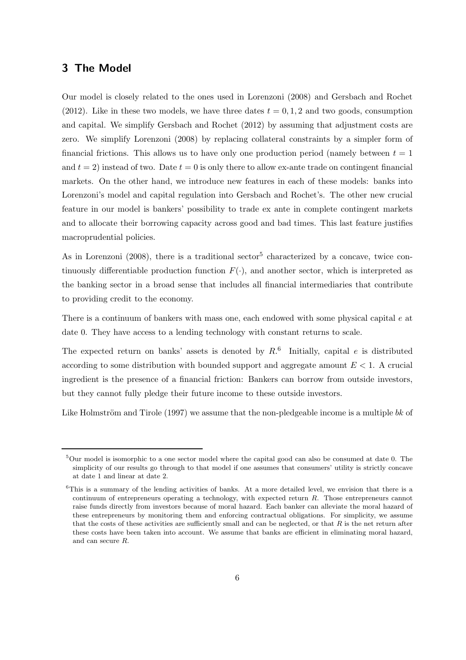# 3 The Model

Our model is closely related to the ones used in Lorenzoni (2008) and Gersbach and Rochet (2012). Like in these two models, we have three dates  $t = 0, 1, 2$  and two goods, consumption and capital. We simplify Gersbach and Rochet (2012) by assuming that adjustment costs are zero. We simplify Lorenzoni (2008) by replacing collateral constraints by a simpler form of financial frictions. This allows us to have only one production period (namely between  $t = 1$ ) and  $t = 2$ ) instead of two. Date  $t = 0$  is only there to allow ex-ante trade on contingent financial markets. On the other hand, we introduce new features in each of these models: banks into Lorenzoni's model and capital regulation into Gersbach and Rochet's. The other new crucial feature in our model is bankers' possibility to trade ex ante in complete contingent markets and to allocate their borrowing capacity across good and bad times. This last feature justifies macroprudential policies.

As in Lorenzoni (2008), there is a traditional sector<sup>5</sup> characterized by a concave, twice continuously differentiable production function  $F(\cdot)$ , and another sector, which is interpreted as the banking sector in a broad sense that includes all financial intermediaries that contribute to providing credit to the economy.

There is a continuum of bankers with mass one, each endowed with some physical capital e at date 0. They have access to a lending technology with constant returns to scale.

The expected return on banks' assets is denoted by  $R<sup>6</sup>$  Initially, capital e is distributed according to some distribution with bounded support and aggregate amount  $E \leq 1$ . A crucial ingredient is the presence of a financial friction: Bankers can borrow from outside investors, but they cannot fully pledge their future income to these outside investors.

Like Holmström and Tirole (1997) we assume that the non-pledgeable income is a multiple  $bk$  of

 $5$ Our model is isomorphic to a one sector model where the capital good can also be consumed at date 0. The simplicity of our results go through to that model if one assumes that consumers' utility is strictly concave at date 1 and linear at date 2.

<sup>&</sup>lt;sup>6</sup>This is a summary of the lending activities of banks. At a more detailed level, we envision that there is a continuum of entrepreneurs operating a technology, with expected return R. Those entrepreneurs cannot raise funds directly from investors because of moral hazard. Each banker can alleviate the moral hazard of these entrepreneurs by monitoring them and enforcing contractual obligations. For simplicity, we assume that the costs of these activities are sufficiently small and can be neglected, or that  $R$  is the net return after these costs have been taken into account. We assume that banks are efficient in eliminating moral hazard, and can secure R.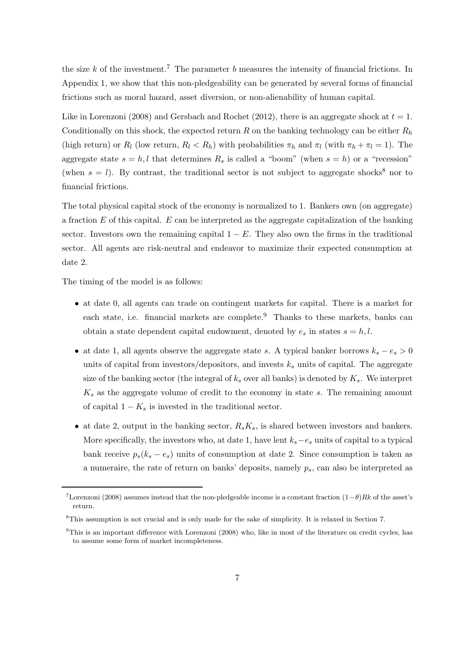the size k of the investment.<sup>7</sup> The parameter b measures the intensity of financial frictions. In Appendix 1, we show that this non-pledgeability can be generated by several forms of financial frictions such as moral hazard, asset diversion, or non-alienability of human capital.

Like in Lorenzoni (2008) and Gersbach and Rochet (2012), there is an aggregate shock at  $t = 1$ . Conditionally on this shock, the expected return  $R$  on the banking technology can be either  $R_h$ (high return) or  $R_l$  (low return,  $R_l < R_h$ ) with probabilities  $\pi_h$  and  $\pi_l$  (with  $\pi_h + \pi_l = 1$ ). The aggregate state  $s = h, l$  that determines  $R_s$  is called a "boom" (when  $s = h$ ) or a "recession" (when  $s = l$ ). By contrast, the traditional sector is not subject to aggregate shocks<sup>8</sup> nor to financial frictions.

The total physical capital stock of the economy is normalized to 1. Bankers own (on aggregate) a fraction  $E$  of this capital.  $E$  can be interpreted as the aggregate capitalization of the banking sector. Investors own the remaining capital  $1 - E$ . They also own the firms in the traditional sector. All agents are risk-neutral and endeavor to maximize their expected consumption at date 2.

The timing of the model is as follows:

- at date 0, all agents can trade on contingent markets for capital. There is a market for each state, i.e. financial markets are complete.<sup>9</sup> Thanks to these markets, banks can obtain a state dependent capital endowment, denoted by  $e_s$  in states  $s = h, l$ .
- at date 1, all agents observe the aggregate state s. A typical banker borrows  $k_s e_s > 0$ units of capital from investors/depositors, and invests  $k<sub>s</sub>$  units of capital. The aggregate size of the banking sector (the integral of  $k<sub>s</sub>$  over all banks) is denoted by  $K<sub>s</sub>$ . We interpret  $K<sub>s</sub>$  as the aggregate volume of credit to the economy in state s. The remaining amount of capital  $1 - K_s$  is invested in the traditional sector.
- at date 2, output in the banking sector,  $R_sK_s$ , is shared between investors and bankers. More specifically, the investors who, at date 1, have lent  $k_s - e_s$  units of capital to a typical bank receive  $p_s(k_s - e_s)$  units of consumption at date 2. Since consumption is taken as a numeraire, the rate of return on banks' deposits, namely  $p_s$ , can also be interpreted as

<sup>&</sup>lt;sup>7</sup>Lorenzoni (2008) assumes instead that the non-pledgeable income is a constant fraction  $(1-\theta)Rk$  of the asset's return.

<sup>8</sup>This assumption is not crucial and is only made for the sake of simplicity. It is relaxed in Section 7.

<sup>9</sup>This is an important difference with Lorenzoni (2008) who, like in most of the literature on credit cycles, has to assume some form of market incompleteness.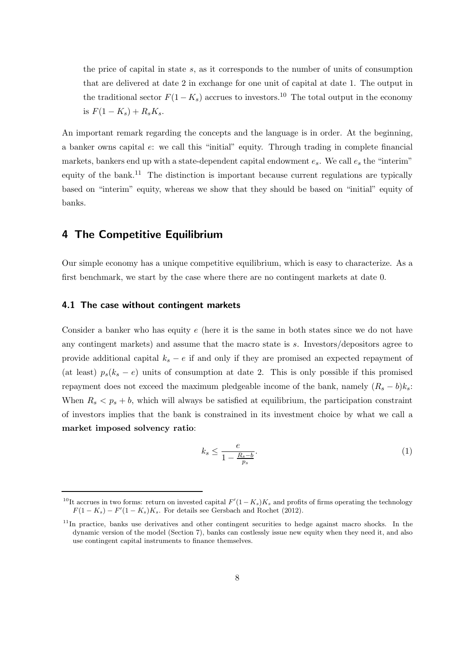the price of capital in state s, as it corresponds to the number of units of consumption that are delivered at date 2 in exchange for one unit of capital at date 1. The output in the traditional sector  $F(1 - K_s)$  accrues to investors.<sup>10</sup> The total output in the economy is  $F(1 - K_s) + R_s K_s$ .

An important remark regarding the concepts and the language is in order. At the beginning, a banker owns capital e: we call this "initial" equity. Through trading in complete financial markets, bankers end up with a state-dependent capital endowment  $e_s$ . We call  $e_s$  the "interim" equity of the bank.<sup>11</sup> The distinction is important because current regulations are typically based on "interim" equity, whereas we show that they should be based on "initial" equity of banks.

### 4 The Competitive Equilibrium

Our simple economy has a unique competitive equilibrium, which is easy to characterize. As a first benchmark, we start by the case where there are no contingent markets at date 0.

#### 4.1 The case without contingent markets

Consider a banker who has equity  $e$  (here it is the same in both states since we do not have any contingent markets) and assume that the macro state is s. Investors/depositors agree to provide additional capital  $k_s - e$  if and only if they are promised an expected repayment of (at least)  $p_s(k_s - e)$  units of consumption at date 2. This is only possible if this promised repayment does not exceed the maximum pledgeable income of the bank, namely  $(R_s - b)k_s$ : When  $R_s < p_s + b$ , which will always be satisfied at equilibrium, the participation constraint of investors implies that the bank is constrained in its investment choice by what we call a market imposed solvency ratio:

$$
k_s \le \frac{e}{1 - \frac{R_s - b}{p_s}}.\tag{1}
$$

<sup>&</sup>lt;sup>10</sup>It accrues in two forms: return on invested capital  $F'(1-K_s)K_s$  and profits of firms operating the technology  $F(1 - K_s) - F'(1 - K_s)K_s$ . For details see Gersbach and Rochet (2012).

 $11$ In practice, banks use derivatives and other contingent securities to hedge against macro shocks. In the dynamic version of the model (Section 7), banks can costlessly issue new equity when they need it, and also use contingent capital instruments to finance themselves.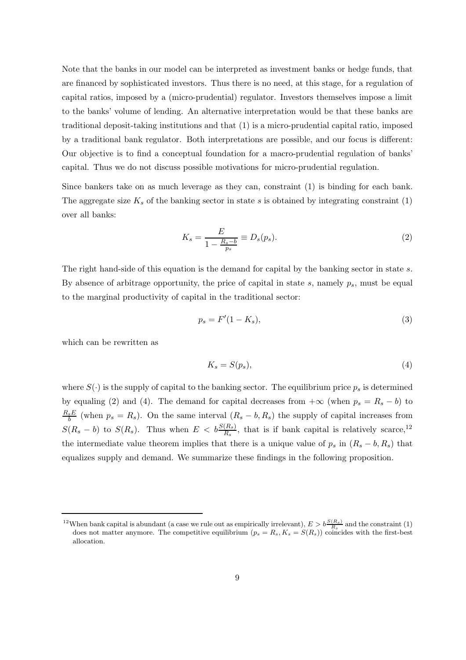Note that the banks in our model can be interpreted as investment banks or hedge funds, that are financed by sophisticated investors. Thus there is no need, at this stage, for a regulation of capital ratios, imposed by a (micro-prudential) regulator. Investors themselves impose a limit to the banks' volume of lending. An alternative interpretation would be that these banks are traditional deposit-taking institutions and that (1) is a micro-prudential capital ratio, imposed by a traditional bank regulator. Both interpretations are possible, and our focus is different: Our objective is to find a conceptual foundation for a macro-prudential regulation of banks' capital. Thus we do not discuss possible motivations for micro-prudential regulation.

Since bankers take on as much leverage as they can, constraint (1) is binding for each bank. The aggregate size  $K_s$  of the banking sector in state s is obtained by integrating constraint (1) over all banks:

$$
K_s = \frac{E}{1 - \frac{R_s - b}{p_s}} \equiv D_s(p_s). \tag{2}
$$

The right hand-side of this equation is the demand for capital by the banking sector in state s. By absence of arbitrage opportunity, the price of capital in state  $s$ , namely  $p_s$ , must be equal to the marginal productivity of capital in the traditional sector:

$$
p_s = F'(1 - K_s),\tag{3}
$$

which can be rewritten as

$$
K_s = S(p_s),\tag{4}
$$

where  $S(\cdot)$  is the supply of capital to the banking sector. The equilibrium price  $p_s$  is determined by equaling (2) and (4). The demand for capital decreases from  $+\infty$  (when  $p_s = R_s - b$ ) to  $R_s E$  $\frac{sE}{b}$  (when  $p_s = R_s$ ). On the same interval  $(R_s - b, R_s)$  the supply of capital increases from  $S(R_s - b)$  to  $S(R_s)$ . Thus when  $E < b \frac{S(R_s)}{R_s}$ , that is if bank capital is relatively scarce,<sup>12</sup> the intermediate value theorem implies that there is a unique value of  $p_s$  in  $(R_s - b, R_s)$  that equalizes supply and demand. We summarize these findings in the following proposition.

<sup>&</sup>lt;sup>12</sup>When bank capital is abundant (a case we rule out as empirically irrelevant),  $E > b \frac{S(R_s)}{R_s}$  and the constraint (1) does not matter anymore. The competitive equilibrium  $(p_s = R_s, K_s = S(R_s))$  coincides with the first-best allocation.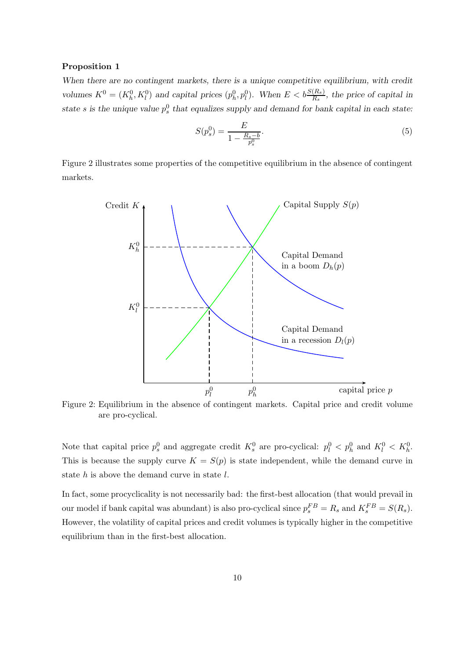#### Proposition 1

When there are no contingent markets, there is a unique competitive equilibrium, with credit volumes  $K^0 = (K_h^0, K_l^0)$  and capital prices  $(p_h^0, p_l^0)$ . When  $E < b \frac{S(R_s)}{R_s}$ , the price of capital in state s is the unique value  $p_s^0$  that equalizes supply and demand for bank capital in each state:

$$
S(p_s^0) = \frac{E}{1 - \frac{R_s - b}{p_s^0}}.\tag{5}
$$

Figure 2 illustrates some properties of the competitive equilibrium in the absence of contingent markets.



Figure 2: Equilibrium in the absence of contingent markets. Capital price and credit volume are pro-cyclical.

Note that capital price  $p_s^0$  and aggregate credit  $K_s^0$  are pro-cyclical:  $p_l^0 < p_h^0$  and  $K_l^0 < K_h^0$ . This is because the supply curve  $K = S(p)$  is state independent, while the demand curve in state  $h$  is above the demand curve in state  $l$ .

In fact, some procyclicality is not necessarily bad: the first-best allocation (that would prevail in our model if bank capital was abundant) is also pro-cyclical since  $p_s^{FB} = R_s$  and  $K_s^{FB} = S(R_s)$ . However, the volatility of capital prices and credit volumes is typically higher in the competitive equilibrium than in the first-best allocation.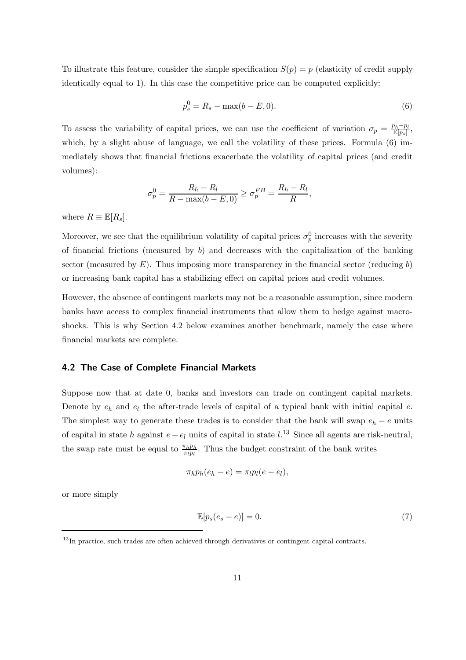To illustrate this feature, consider the simple specification  $S(p) = p$  (elasticity of credit supply identically equal to 1). In this case the competitive price can be computed explicitly:

$$
p_s^0 = R_s - \max(b - E, 0). \tag{6}
$$

To assess the variability of capital prices, we can use the coefficient of variation  $\sigma_p = \frac{p_h - p_l}{\mathbb{E}[p_s]}$ , which, by a slight abuse of language, we call the volatility of these prices. Formula  $(6)$  immediately shows that financial frictions exacerbate the volatility of capital prices (and credit volumes):

$$
\sigma_p^0 = \frac{R_h - R_l}{R - \max(b - E, 0)} \ge \sigma_p^{FB} = \frac{R_h - R_l}{R},
$$

where  $R \equiv \mathbb{E}[R_s]$ .

Moreover, we see that the equilibrium volatility of capital prices  $\sigma_p^0$  increases with the severity of financial frictions (measured by  $b$ ) and decreases with the capitalization of the banking sector (measured by  $E$ ). Thus imposing more transparency in the financial sector (reducing b) or increasing bank capital has a stabilizing effect on capital prices and credit volumes.

However, the absence of contingent markets may not be a reasonable assumption, since modern banks have access to complex financial instruments that allow them to hedge against macroshocks. This is why Section 4.2 below examines another benchmark, namely the case where financial markets are complete.

#### 4.2 The Case of Complete Financial Markets

Suppose now that at date 0, banks and investors can trade on contingent capital markets. Denote by  $e_h$  and  $e_l$  the after-trade levels of capital of a typical bank with initial capital e. The simplest way to generate these trades is to consider that the bank will swap  $e_h - e$  units of capital in state h against  $e - e_l$  units of capital in state  $l$ .<sup>13</sup> Since all agents are risk-neutral, the swap rate must be equal to  $\frac{\pi_h p_h}{\pi_l p_l}$ . Thus the budget constraint of the bank writes

$$
\pi_h p_h(e_h - e) = \pi_l p_l(e - e_l),
$$

or more simply

$$
\mathbb{E}[p_s(e_s - e)] = 0. \tag{7}
$$

<sup>&</sup>lt;sup>13</sup>In practice, such trades are often achieved through derivatives or contingent capital contracts.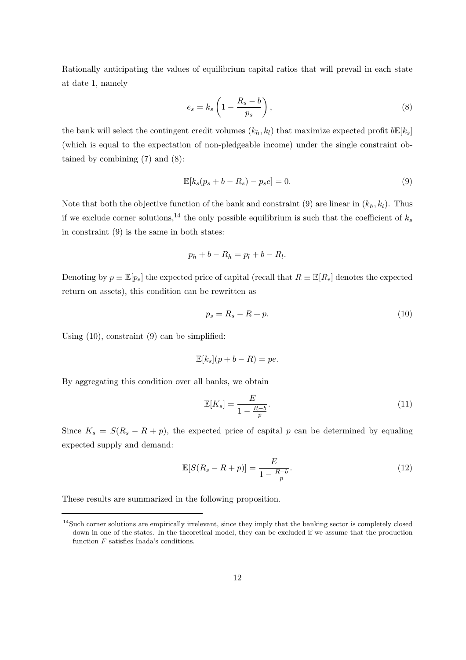Rationally anticipating the values of equilibrium capital ratios that will prevail in each state at date 1, namely

$$
e_s = k_s \left( 1 - \frac{R_s - b}{p_s} \right),\tag{8}
$$

the bank will select the contingent credit volumes  $(k_h, k_l)$  that maximize expected profit  $b\mathbb{E}[k_s]$ (which is equal to the expectation of non-pledgeable income) under the single constraint obtained by combining (7) and (8):

$$
\mathbb{E}[k_s(p_s+b-R_s)-p_se]=0.\tag{9}
$$

Note that both the objective function of the bank and constraint (9) are linear in  $(k_h, k_l)$ . Thus if we exclude corner solutions,<sup>14</sup> the only possible equilibrium is such that the coefficient of  $k_s$ in constraint (9) is the same in both states:

$$
p_h + b - R_h = p_l + b - R_l.
$$

Denoting by  $p \equiv \mathbb{E}[p_s]$  the expected price of capital (recall that  $R \equiv \mathbb{E}[R_s]$  denotes the expected return on assets), this condition can be rewritten as

$$
p_s = R_s - R + p.\tag{10}
$$

Using (10), constraint (9) can be simplified:

$$
\mathbb{E}[k_s](p + b - R) = pe.
$$

By aggregating this condition over all banks, we obtain

$$
\mathbb{E}[K_s] = \frac{E}{1 - \frac{R - b}{p}}.\tag{11}
$$

Since  $K_s = S(R_s - R + p)$ , the expected price of capital p can be determined by equaling expected supply and demand:

$$
\mathbb{E}[S(R_s - R + p)] = \frac{E}{1 - \frac{R - b}{p}}.\tag{12}
$$

These results are summarized in the following proposition.

<sup>&</sup>lt;sup>14</sup>Such corner solutions are empirically irrelevant, since they imply that the banking sector is completely closed down in one of the states. In the theoretical model, they can be excluded if we assume that the production function  $F$  satisfies Inada's conditions.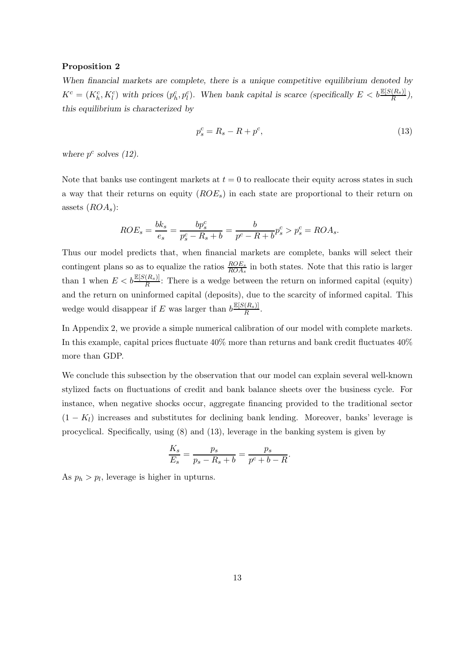#### Proposition 2

When financial markets are complete, there is a unique competitive equilibrium denoted by  $K^c = (K_h^c, K_l^c)$  with prices  $(p_h^c, p_l^c)$ . When bank capital is scarce (specifically  $E < b \frac{\mathbb{E}[S(R_s)]}{R}$ ), this equilibrium is characterized by

$$
p_s^c = R_s - R + p^c,\tag{13}
$$

where  $p^c$  solves (12).

Note that banks use contingent markets at  $t = 0$  to reallocate their equity across states in such a way that their returns on equity  $(ROE<sub>s</sub>)$  in each state are proportional to their return on assets  $(ROA<sub>s</sub>)$ :

$$
ROE_s = \frac{bk_s}{e_s} = \frac{bp_s^c}{p_s^c - R_s + b} = \frac{b}{p^c - R + b}p_s^c > p_s^c = ROA_s.
$$

Thus our model predicts that, when financial markets are complete, banks will select their contingent plans so as to equalize the ratios  $\frac{ROE_s}{ROA_s}$  in both states. Note that this ratio is larger than 1 when  $E < b \frac{\mathbb{E}[S(R_s)]}{R}$ : There is a wedge between the return on informed capital (equity) and the return on uninformed capital (deposits), due to the scarcity of informed capital. This wedge would disappear if E was larger than  $b \frac{\mathbb{E}[S(R_s)]}{R}$  $\frac{(R_s)}{R}$ .

In Appendix 2, we provide a simple numerical calibration of our model with complete markets. In this example, capital prices fluctuate 40% more than returns and bank credit fluctuates 40% more than GDP.

We conclude this subsection by the observation that our model can explain several well-known stylized facts on fluctuations of credit and bank balance sheets over the business cycle. For instance, when negative shocks occur, aggregate financing provided to the traditional sector  $(1 - K_l)$  increases and substitutes for declining bank lending. Moreover, banks' leverage is procyclical. Specifically, using (8) and (13), leverage in the banking system is given by

$$
\frac{K_s}{E_s} = \frac{p_s}{p_s - R_s + b} = \frac{p_s}{p^c + b - R}.
$$

As  $p_h > p_l$ , leverage is higher in upturns.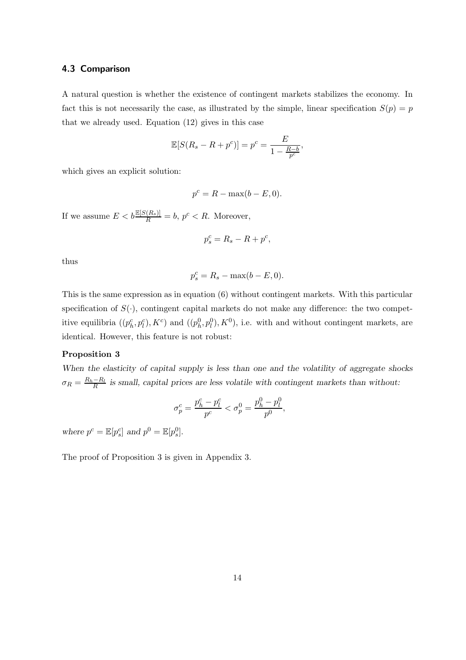#### 4.3 Comparison

A natural question is whether the existence of contingent markets stabilizes the economy. In fact this is not necessarily the case, as illustrated by the simple, linear specification  $S(p) = p$ that we already used. Equation (12) gives in this case

$$
\mathbb{E}[S(R_s - R + p^c)] = p^c = \frac{E}{1 - \frac{R - b}{p^c}},
$$

which gives an explicit solution:

$$
p^c = R - \max(b - E, 0).
$$

If we assume  $E < b \frac{\mathbb{E}[S(R_s)]}{R} = b$ ,  $p^c < R$ . Moreover,

$$
p_s^c = R_s - R + p^c,
$$

thus

$$
p_s^c = R_s - \max(b - E, 0).
$$

This is the same expression as in equation (6) without contingent markets. With this particular specification of  $S(\cdot)$ , contingent capital markets do not make any difference: the two competitive equilibria  $((p_h^c, p_l^c), K^c)$  and  $((p_h^0, p_l^0), K^0)$ , i.e. with and without contingent markets, are identical. However, this feature is not robust:

#### Proposition 3

When the elasticity of capital supply is less than one and the volatility of aggregate shocks  $\sigma_R = \frac{R_h - R_l}{R}$  $\frac{-R_l}{R}$  is small, capital prices are less volatile with contingent markets than without:

,

$$
\sigma_p^c=\frac{p_h^c-p_l^c}{p^c}<\sigma_p^0=\frac{p_h^0-p_l^0}{p^0}
$$

where  $p^c = \mathbb{E}[p_s^c]$  and  $p^0 = \mathbb{E}[p_s^0]$ .

The proof of Proposition 3 is given in Appendix 3.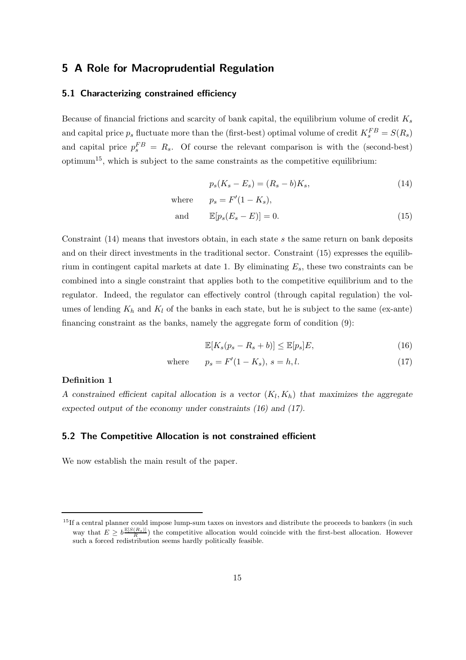### 5 A Role for Macroprudential Regulation

#### 5.1 Characterizing constrained efficiency

Because of financial frictions and scarcity of bank capital, the equilibrium volume of credit  $K_s$ and capital price  $p_s$  fluctuate more than the (first-best) optimal volume of credit  $K_s^{FB} = S(R_s)$ and capital price  $p_s^{FB} = R_s$ . Of course the relevant comparison is with the (second-best)  $\text{optimum}^{15}$ , which is subject to the same constraints as the competitive equilibrium:

$$
p_s(K_s - E_s) = (R_s - b)K_s,
$$
\n(14)

where 
$$
p_s = F'(1 - K_s)
$$
,  
and  $\mathbb{E}[p_s(E_s - E)] = 0.$  (15)

Constraint (14) means that investors obtain, in each state s the same return on bank deposits and on their direct investments in the traditional sector. Constraint (15) expresses the equilibrium in contingent capital markets at date 1. By eliminating  $E_s$ , these two constraints can be combined into a single constraint that applies both to the competitive equilibrium and to the regulator. Indeed, the regulator can effectively control (through capital regulation) the volumes of lending  $K_h$  and  $K_l$  of the banks in each state, but he is subject to the same (ex-ante) financing constraint as the banks, namely the aggregate form of condition (9):

$$
\mathbb{E}[K_s(p_s - R_s + b)] \le \mathbb{E}[p_s]E,\tag{16}
$$

where 
$$
p_s = F'(1 - K_s), s = h, l.
$$
 (17)

#### Definition 1

A constrained efficient capital allocation is a vector  $(K_l, K_h)$  that maximizes the aggregate expected output of the economy under constraints (16) and (17).

### 5.2 The Competitive Allocation is not constrained efficient

We now establish the main result of the paper.

 $15$ If a central planner could impose lump-sum taxes on investors and distribute the proceeds to bankers (in such way that  $E \geq b \frac{\mathbb{E}[S(R_s)]}{R}$  the competitive allocation would coincide with the first-best allocation. However such a forced redistribution seems hardly politically feasible.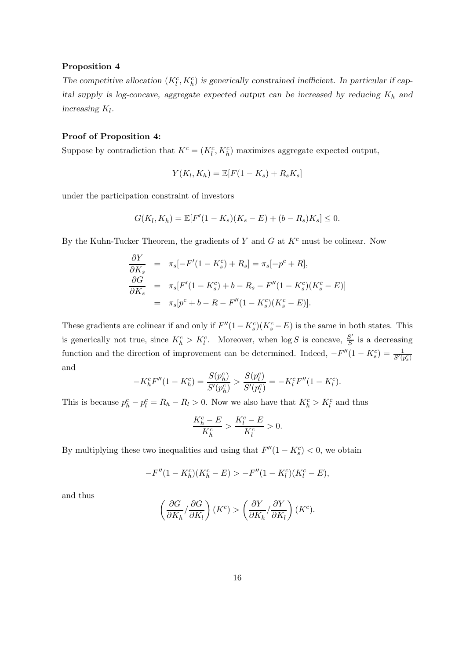#### Proposition 4

The competitive allocation  $(K_l^c, K_h^c)$  is generically constrained inefficient. In particular if capital supply is log-concave, aggregate expected output can be increased by reducing  $K_h$  and increasing  $K_l$ .

#### Proof of Proposition 4:

Suppose by contradiction that  $K^c = (K_l^c, K_h^c)$  maximizes aggregate expected output,

$$
Y(K_l, K_h) = \mathbb{E}[F(1-K_s) + R_s K_s]
$$

under the participation constraint of investors

$$
G(K_l, K_h) = \mathbb{E}[F'(1 - K_s)(K_s - E) + (b - R_s)K_s] \leq 0.
$$

By the Kuhn-Tucker Theorem, the gradients of Y and G at  $K<sup>c</sup>$  must be colinear. Now

$$
\frac{\partial Y}{\partial K_s} = \pi_s[-F'(1 - K_s^c) + R_s] = \pi_s[-p^c + R],
$$
  
\n
$$
\frac{\partial G}{\partial K_s} = \pi_s[F'(1 - K_s^c) + b - R_s - F''(1 - K_s^c)(K_s^c - E)]
$$
  
\n
$$
= \pi_s[p^c + b - R - F''(1 - K_s^c)(K_s^c - E)].
$$

These gradients are colinear if and only if  $F''(1 - K_s^c)(K_s^c - E)$  is the same in both states. This is generically not true, since  $K_h^c > K_l^c$ . Moreover, when  $\log S$  is concave,  $\frac{S'}{S}$  $\frac{S'}{S}$  is a decreasing function and the direction of improvement can be determined. Indeed,  $-F''(1 - K_s^c) = \frac{1}{S'(p_s^c)}$ and

$$
-K_h^c F''(1 - K_h^c) = \frac{S(p_h^c)}{S'(p_h^c)} > \frac{S(p_l^c)}{S'(p_l^c)} = -K_l^c F''(1 - K_l^c).
$$

This is because  $p_h^c - p_l^c = R_h - R_l > 0$ . Now we also have that  $K_h^c > K_l^c$  and thus

$$
\frac{K_h^c - E}{K_h^c} > \frac{K_l^c - E}{K_l^c} > 0.
$$

By multiplying these two inequalities and using that  $F''(1 - K_s^c) < 0$ , we obtain

$$
-F''(1 - K_h^c)(K_h^c - E) > -F''(1 - K_l^c)(K_l^c - E),
$$

and thus

$$
\left(\frac{\partial G}{\partial K_h} / \frac{\partial G}{\partial K_l}\right)(K^c) > \left(\frac{\partial Y}{\partial K_h} / \frac{\partial Y}{\partial K_l}\right)(K^c).
$$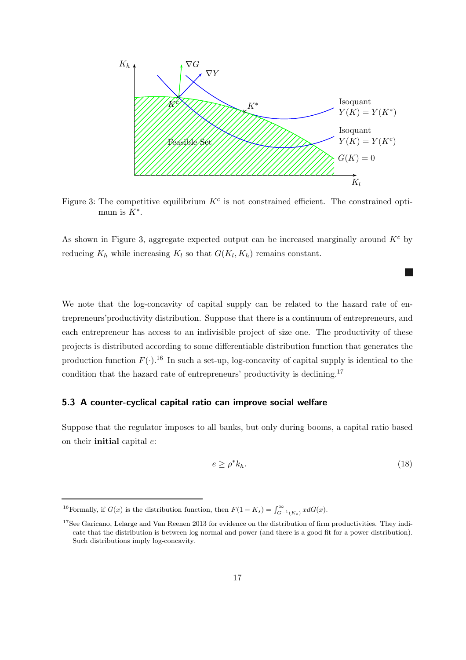

Figure 3: The competitive equilibrium  $K^c$  is not constrained efficient. The constrained optimum is  $K^*$ .

As shown in Figure 3, aggregate expected output can be increased marginally around  $K<sup>c</sup>$  by reducing  $K_h$  while increasing  $K_l$  so that  $G(K_l, K_h)$  remains constant.

We note that the log-concavity of capital supply can be related to the hazard rate of entrepreneurs'productivity distribution. Suppose that there is a continuum of entrepreneurs, and each entrepreneur has access to an indivisible project of size one. The productivity of these projects is distributed according to some differentiable distribution function that generates the production function  $F(.)$ .<sup>16</sup> In such a set-up, log-concavity of capital supply is identical to the condition that the hazard rate of entrepreneurs' productivity is declining.<sup>17</sup>

#### 5.3 A counter-cyclical capital ratio can improve social welfare

Suppose that the regulator imposes to all banks, but only during booms, a capital ratio based on their **initial** capital  $e$ :

$$
e \ge \rho^* k_h. \tag{18}
$$

<sup>&</sup>lt;sup>16</sup>Formally, if  $G(x)$  is the distribution function, then  $F(1 - K_s) = \int_{G^{-1}(K_s)}^{\infty} x dG(x)$ .

<sup>&</sup>lt;sup>17</sup>See Garicano, Lelarge and Van Reenen 2013 for evidence on the distribution of firm productivities. They indicate that the distribution is between log normal and power (and there is a good fit for a power distribution). Such distributions imply log-concavity.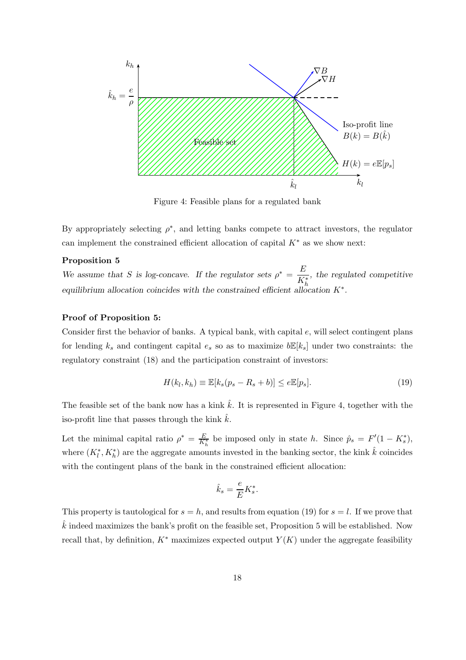

Figure 4: Feasible plans for a regulated bank

By appropriately selecting  $\rho^*$ , and letting banks compete to attract investors, the regulator can implement the constrained efficient allocation of capital  $K^*$  as we show next:

#### Proposition 5

We assume that S is log-concave. If the regulator sets  $\rho^* = \frac{E}{V}$ K<sup>∗</sup> h , the regulated competitive equilibrium allocation coincides with the constrained efficient allocation  $K^*$ .

#### Proof of Proposition 5:

Consider first the behavior of banks. A typical bank, with capital e, will select contingent plans for lending  $k_s$  and contingent capital  $e_s$  so as to maximize  $b\mathbb{E}[k_s]$  under two constraints: the regulatory constraint (18) and the participation constraint of investors:

$$
H(k_l, k_h) \equiv \mathbb{E}[k_s(p_s - R_s + b)] \le e \mathbb{E}[p_s]. \tag{19}
$$

The feasible set of the bank now has a kink  $\hat{k}$ . It is represented in Figure 4, together with the iso-profit line that passes through the kink  $\hat{k}.$ 

Let the minimal capital ratio  $\rho^* = \frac{E}{K_h^*}$  be imposed only in state h. Since  $\hat{p}_s = F'(1 - K_s^*)$ , where  $(K_l^*, K_h^*)$  are the aggregate amounts invested in the banking sector, the kink  $\hat{k}$  coincides with the contingent plans of the bank in the constrained efficient allocation:

$$
\hat{k}_s = \frac{e}{E} K_s^*.
$$

This property is tautological for  $s = h$ , and results from equation (19) for  $s = l$ . If we prove that  $k$  indeed maximizes the bank's profit on the feasible set, Proposition 5 will be established. Now recall that, by definition,  $K^*$  maximizes expected output  $Y(K)$  under the aggregate feasibility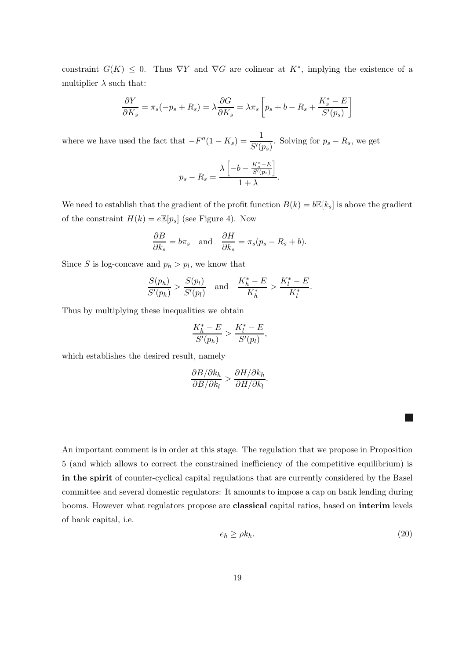constraint  $G(K) \leq 0$ . Thus  $\nabla Y$  and  $\nabla G$  are colinear at  $K^*$ , implying the existence of a multiplier  $\lambda$  such that:

$$
\frac{\partial Y}{\partial K_s} = \pi_s(-p_s + R_s) = \lambda \frac{\partial G}{\partial K_s} = \lambda \pi_s \left[ p_s + b - R_s + \frac{K_s^* - E}{S'(p_s)} \right]
$$

where we have used the fact that  $-F''(1 - K_s) = \frac{1}{S'(p_s)}$ . Solving for  $p_s - R_s$ , we get

$$
p_s - R_s = \frac{\lambda \left[ -b - \frac{K_s^* - E}{S'(p_s)} \right]}{1 + \lambda}.
$$

We need to establish that the gradient of the profit function  $B(k) = b\mathbb{E}[k_s]$  is above the gradient of the constraint  $H(k) = e \mathbb{E}[p_s]$  (see Figure 4). Now

$$
\frac{\partial B}{\partial k_s} = b\pi_s \quad \text{and} \quad \frac{\partial H}{\partial k_s} = \pi_s(p_s - R_s + b).
$$

Since S is log-concave and  $p_h > p_l$ , we know that

$$
\frac{S(p_h)}{S'(p_h)} > \frac{S(p_l)}{S'(p_l)} \quad \text{and} \quad \frac{K_h^* - E}{K_h^*} > \frac{K_l^* - E}{K_l^*}.
$$

Thus by multiplying these inequalities we obtain

$$
\frac{K_h^*-E}{S'(p_h)} > \frac{K_l^*-E}{S'(p_l)},
$$

which establishes the desired result, namely

$$
\frac{\partial B/\partial k_h}{\partial B/\partial k_l} > \frac{\partial H/\partial k_h}{\partial H/\partial k_l}.
$$

An important comment is in order at this stage. The regulation that we propose in Proposition 5 (and which allows to correct the constrained inefficiency of the competitive equilibrium) is in the spirit of counter-cyclical capital regulations that are currently considered by the Basel committee and several domestic regulators: It amounts to impose a cap on bank lending during booms. However what regulators propose are classical capital ratios, based on interim levels of bank capital, i.e.

$$
e_h \ge \rho k_h. \tag{20}
$$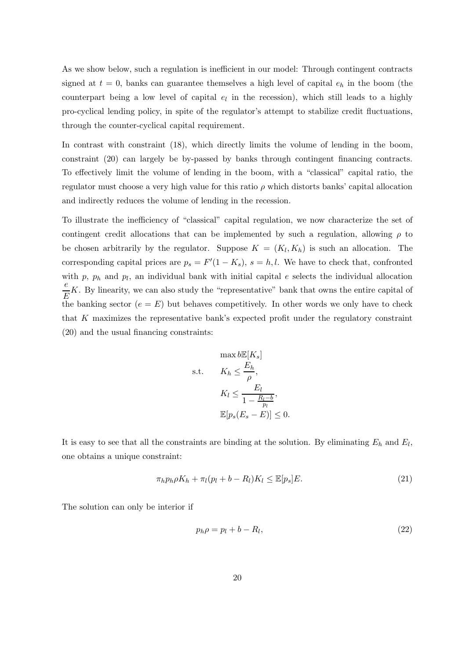As we show below, such a regulation is inefficient in our model: Through contingent contracts signed at  $t = 0$ , banks can guarantee themselves a high level of capital  $e_h$  in the boom (the counterpart being a low level of capital  $e_l$  in the recession), which still leads to a highly pro-cyclical lending policy, in spite of the regulator's attempt to stabilize credit fluctuations, through the counter-cyclical capital requirement.

In contrast with constraint (18), which directly limits the volume of lending in the boom, constraint (20) can largely be by-passed by banks through contingent financing contracts. To effectively limit the volume of lending in the boom, with a "classical" capital ratio, the regulator must choose a very high value for this ratio  $\rho$  which distorts banks' capital allocation and indirectly reduces the volume of lending in the recession.

To illustrate the inefficiency of "classical" capital regulation, we now characterize the set of contingent credit allocations that can be implemented by such a regulation, allowing  $\rho$  to be chosen arbitrarily by the regulator. Suppose  $K = (K_l, K_h)$  is such an allocation. The corresponding capital prices are  $p_s = F'(1 - K_s)$ ,  $s = h, l$ . We have to check that, confronted with  $p$ ,  $p_h$  and  $p_l$ , an individual bank with initial capital e selects the individual allocation e  $\frac{\epsilon}{E}K$ . By linearity, we can also study the "representative" bank that owns the entire capital of the banking sector  $(e = E)$  but behaves competitively. In other words we only have to check that K maximizes the representative bank's expected profit under the regulatory constraint (20) and the usual financing constraints:

$$
\begin{aligned}\n\max b \mathbb{E}[K_s] \\
\text{s.t.} \qquad K_h &\leq \frac{E_h}{\rho}, \\
K_l &\leq \frac{E_l}{1 - \frac{R_l - b}{p_l}}, \\
\mathbb{E}[p_s(E_s - E)] &\leq 0.\n\end{aligned}
$$

It is easy to see that all the constraints are binding at the solution. By eliminating  $E_h$  and  $E_l$ , one obtains a unique constraint:

$$
\pi_h p_h \rho K_h + \pi_l (p_l + b - R_l) K_l \le \mathbb{E}[p_s] E. \tag{21}
$$

The solution can only be interior if

$$
p_h \rho = p_l + b - R_l, \tag{22}
$$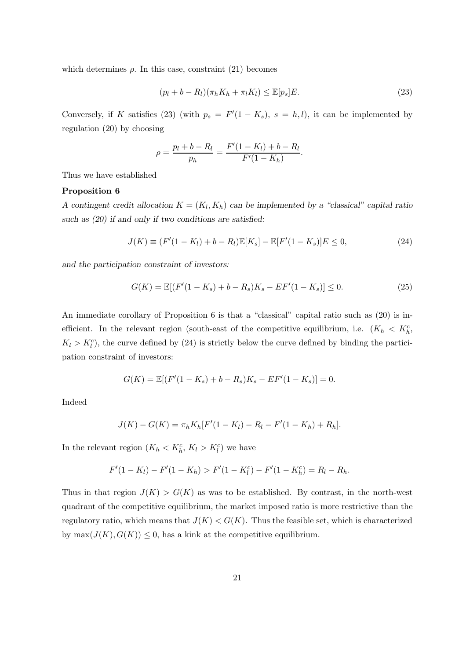which determines  $\rho$ . In this case, constraint (21) becomes

$$
(p_l + b - R_l)(\pi_h K_h + \pi_l K_l) \le \mathbb{E}[p_s]E.
$$
\n(23)

Conversely, if K satisfies (23) (with  $p_s = F'(1 - K_s)$ ,  $s = h, l$ ), it can be implemented by regulation (20) by choosing

$$
\rho = \frac{p_l + b - R_l}{p_h} = \frac{F'(1 - K_l) + b - R_l}{F'(1 - K_h)}.
$$

Thus we have established

#### Proposition 6

A contingent credit allocation  $K = (K_l, K_h)$  can be implemented by a "classical" capital ratio such as  $(20)$  if and only if two conditions are satisfied:

$$
J(K) \equiv (F'(1 - K_l) + b - R_l) \mathbb{E}[K_s] - \mathbb{E}[F'(1 - K_s)]E \le 0,
$$
\n(24)

and the participation constraint of investors:

$$
G(K) = \mathbb{E}[(F'(1 - K_s) + b - R_s)K_s - EF'(1 - K_s)] \le 0.
$$
\n(25)

An immediate corollary of Proposition 6 is that a "classical" capital ratio such as (20) is inefficient. In the relevant region (south-east of the competitive equilibrium, i.e.  $(K_h < K_h^c)$ ,  $K_l > K_l^c$ , the curve defined by (24) is strictly below the curve defined by binding the participation constraint of investors:

$$
G(K) = \mathbb{E}[(F'(1 - K_s) + b - R_s)K_s - EF'(1 - K_s)] = 0.
$$

Indeed

$$
J(K) - G(K) = \pi_h K_h[F'(1 - K_l) - R_l - F'(1 - K_h) + R_h].
$$

In the relevant region  $(K_h < K_h^c, K_l > K_l^c)$  we have

$$
F'(1 - K_l) - F'(1 - K_h) > F'(1 - K_l^c) - F'(1 - K_h^c) = R_l - R_h.
$$

Thus in that region  $J(K) > G(K)$  as was to be established. By contrast, in the north-west quadrant of the competitive equilibrium, the market imposed ratio is more restrictive than the regulatory ratio, which means that  $J(K) < G(K)$ . Thus the feasible set, which is characterized by  $\max(J(K), G(K)) \leq 0$ , has a kink at the competitive equilibrium.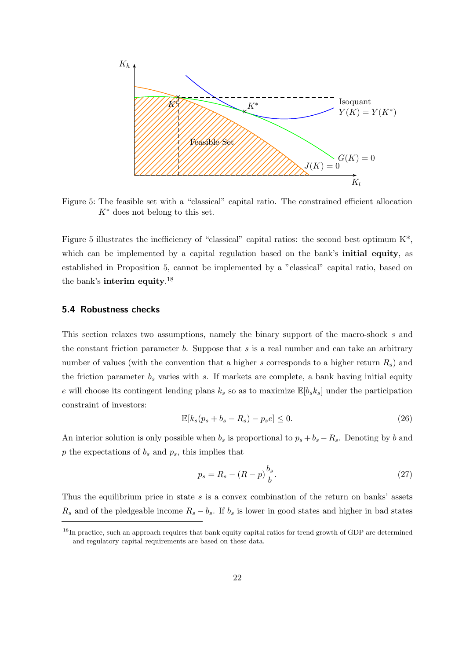

Figure 5: The feasible set with a "classical" capital ratio. The constrained efficient allocation  $K^*$  does not belong to this set.

Figure 5 illustrates the inefficiency of "classical" capital ratios: the second best optimum  $K^*$ , which can be implemented by a capital regulation based on the bank's **initial equity**, as established in Proposition 5, cannot be implemented by a "classical" capital ratio, based on the bank's interim equity.<sup>18</sup>

#### 5.4 Robustness checks

This section relaxes two assumptions, namely the binary support of the macro-shock s and the constant friction parameter  $b$ . Suppose that  $s$  is a real number and can take an arbitrary number of values (with the convention that a higher s corresponds to a higher return  $R<sub>s</sub>$ ) and the friction parameter  $b_s$  varies with s. If markets are complete, a bank having initial equity e will choose its contingent lending plans  $k_s$  so as to maximize  $\mathbb{E}[b_s k_s]$  under the participation constraint of investors:

$$
\mathbb{E}[k_s(p_s + b_s - R_s) - p_s e] \le 0. \tag{26}
$$

An interior solution is only possible when  $b_s$  is proportional to  $p_s + b_s - R_s$ . Denoting by b and  $p$  the expectations of  $b_s$  and  $p_s$ , this implies that

$$
p_s = R_s - (R - p)\frac{b_s}{b}.\tag{27}
$$

Thus the equilibrium price in state  $s$  is a convex combination of the return on banks' assets  $R_s$  and of the pledgeable income  $R_s - b_s$ . If  $b_s$  is lower in good states and higher in bad states

<sup>&</sup>lt;sup>18</sup>In practice, such an approach requires that bank equity capital ratios for trend growth of GDP are determined and regulatory capital requirements are based on these data.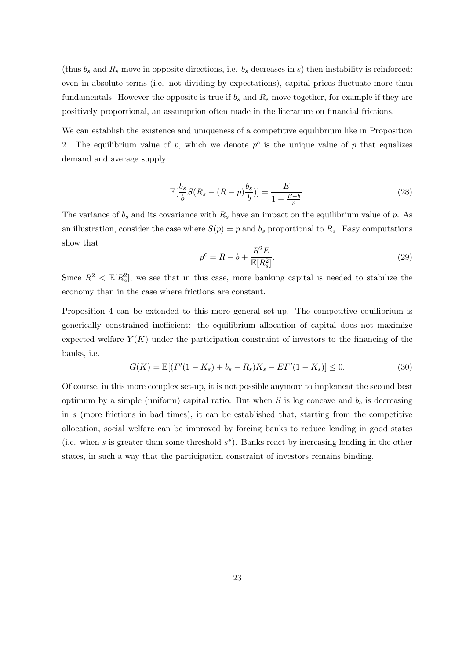(thus  $b_s$  and  $R_s$  move in opposite directions, i.e.  $b_s$  decreases in s) then instability is reinforced: even in absolute terms (i.e. not dividing by expectations), capital prices fluctuate more than fundamentals. However the opposite is true if  $b_s$  and  $R_s$  move together, for example if they are positively proportional, an assumption often made in the literature on financial frictions.

We can establish the existence and uniqueness of a competitive equilibrium like in Proposition 2. The equilibrium value of p, which we denote  $p^c$  is the unique value of p that equalizes demand and average supply:

$$
\mathbb{E}[\frac{b_s}{b}S(R_s - (R - p)\frac{b_s}{b})] = \frac{E}{1 - \frac{R - b}{p}}.\tag{28}
$$

The variance of  $b_s$  and its covariance with  $R_s$  have an impact on the equilibrium value of p. As an illustration, consider the case where  $S(p) = p$  and  $b_s$  proportional to  $R_s$ . Easy computations show that

$$
p^c = R - b + \frac{R^2 E}{\mathbb{E}[R_s^2]}.
$$
\n
$$
(29)
$$

Since  $R^2 < \mathbb{E}[R_s^2]$ , we see that in this case, more banking capital is needed to stabilize the economy than in the case where frictions are constant.

Proposition 4 can be extended to this more general set-up. The competitive equilibrium is generically constrained inefficient: the equilibrium allocation of capital does not maximize expected welfare  $Y(K)$  under the participation constraint of investors to the financing of the banks, i.e.

$$
G(K) = \mathbb{E}[(F'(1 - K_s) + b_s - R_s)K_s - EF'(1 - K_s)] \le 0.
$$
\n(30)

Of course, in this more complex set-up, it is not possible anymore to implement the second best optimum by a simple (uniform) capital ratio. But when  $S$  is log concave and  $b_s$  is decreasing in s (more frictions in bad times), it can be established that, starting from the competitive allocation, social welfare can be improved by forcing banks to reduce lending in good states (i.e. when s is greater than some threshold  $s^*$ ). Banks react by increasing lending in the other states, in such a way that the participation constraint of investors remains binding.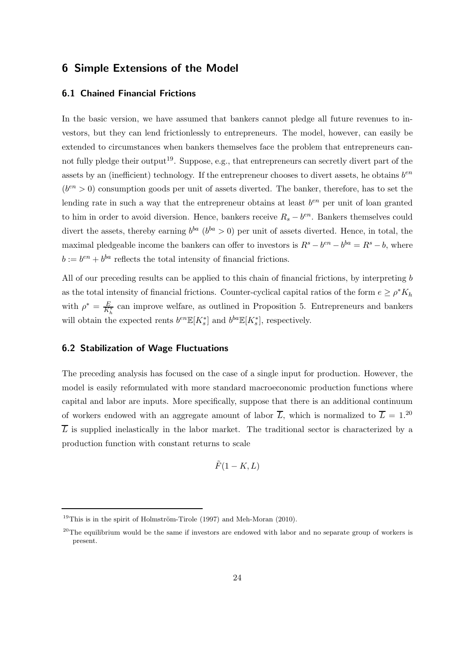# 6 Simple Extensions of the Model

#### 6.1 Chained Financial Frictions

In the basic version, we have assumed that bankers cannot pledge all future revenues to investors, but they can lend frictionlessly to entrepreneurs. The model, however, can easily be extended to circumstances when bankers themselves face the problem that entrepreneurs cannot fully pledge their output<sup>19</sup>. Suppose, e.g., that entrepreneurs can secretly divert part of the assets by an (inefficient) technology. If the entrepreneur chooses to divert assets, he obtains  $b^{en}$  $(b^{en} > 0)$  consumption goods per unit of assets diverted. The banker, therefore, has to set the lending rate in such a way that the entrepreneur obtains at least  $b^{en}$  per unit of loan granted to him in order to avoid diversion. Hence, bankers receive  $R_s - b^{en}$ . Bankers themselves could divert the assets, thereby earning  $b^{ba}$  ( $b^{ba} > 0$ ) per unit of assets diverted. Hence, in total, the maximal pledgeable income the bankers can offer to investors is  $R^s - b^{en} - b^{ba} = R^s - b$ , where  $b := b^{en} + b^{ba}$  reflects the total intensity of financial frictions.

All of our preceding results can be applied to this chain of financial frictions, by interpreting b as the total intensity of financial frictions. Counter-cyclical capital ratios of the form  $e \ge \rho^* K_h$ with  $\rho^* = \frac{E}{K_h^*}$  can improve welfare, as outlined in Proposition 5. Entrepreneurs and bankers will obtain the expected rents  $b^{en} \mathbb{E}[K_s^*]$  and  $b^{ba} \mathbb{E}[K_s^*]$ , respectively.

#### 6.2 Stabilization of Wage Fluctuations

The preceding analysis has focused on the case of a single input for production. However, the model is easily reformulated with more standard macroeconomic production functions where capital and labor are inputs. More specifically, suppose that there is an additional continuum of workers endowed with an aggregate amount of labor  $\overline{L}$ , which is normalized to  $\overline{L} = 1.^{20}$  $\overline{L}$  is supplied inelastically in the labor market. The traditional sector is characterized by a production function with constant returns to scale

$$
\tilde{F}(1-K,L)
$$

<sup>&</sup>lt;sup>19</sup>This is in the spirit of Holmström-Tirole (1997) and Meh-Moran (2010).

<sup>&</sup>lt;sup>20</sup>The equilibrium would be the same if investors are endowed with labor and no separate group of workers is present.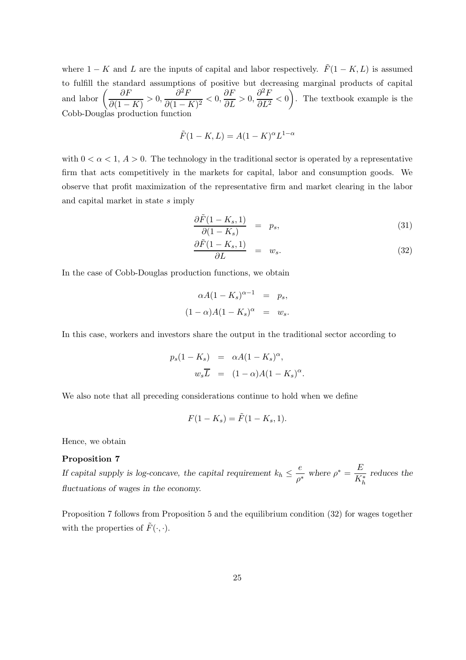where  $1 - K$  and L are the inputs of capital and labor respectively.  $\tilde{F}(1 - K, L)$  is assumed to fulfill the standard assumptions of positive but decreasing marginal products of capital and labor  $\left(\frac{\partial F}{\partial \Omega}\right)$  $\frac{\partial F}{\partial (1 - K)} > 0, \frac{\partial^2 F}{\partial (1 - K)}$  $\frac{\partial^2 F}{\partial (1 - K)^2} < 0, \frac{\partial F}{\partial L} > 0, \frac{\partial^2 F}{\partial L^2}$  $\left(\frac{\partial^2 F}{\partial L^2} < 0\right)$ . The textbook example is the Cobb-Douglas production function

$$
\tilde{F}(1 - K, L) = A(1 - K)^{\alpha} L^{1 - \alpha}
$$

with  $0 < \alpha < 1$ ,  $A > 0$ . The technology in the traditional sector is operated by a representative firm that acts competitively in the markets for capital, labor and consumption goods. We observe that profit maximization of the representative firm and market clearing in the labor and capital market in state s imply

$$
\frac{\partial \tilde{F}(1 - K_s, 1)}{\partial (1 - K_s)} = p_s, \tag{31}
$$

$$
\frac{\partial \tilde{F}(1 - K_s, 1)}{\partial L} = w_s.
$$
\n(32)

In the case of Cobb-Douglas production functions, we obtain

$$
\alpha A (1 - K_s)^{\alpha - 1} = p_s,
$$
  

$$
(1 - \alpha) A (1 - K_s)^{\alpha} = w_s.
$$

In this case, workers and investors share the output in the traditional sector according to

$$
p_s(1 - K_s) = \alpha A (1 - K_s)^\alpha,
$$
  

$$
w_s \overline{L} = (1 - \alpha) A (1 - K_s)^\alpha.
$$

We also note that all preceding considerations continue to hold when we define

$$
F(1 - K_s) = \tilde{F}(1 - K_s, 1).
$$

Hence, we obtain

#### Proposition 7

If capital supply is log-concave, the capital requirement  $k_h \leq \frac{e}{e^{\lambda}}$  $\frac{e}{\rho^*}$  where  $\rho^* = \frac{E}{K_l^*}$  $K^*_h$ reduces the fluctuations of wages in the economy.

Proposition 7 follows from Proposition 5 and the equilibrium condition (32) for wages together with the properties of  $\tilde{F}(\cdot, \cdot)$ .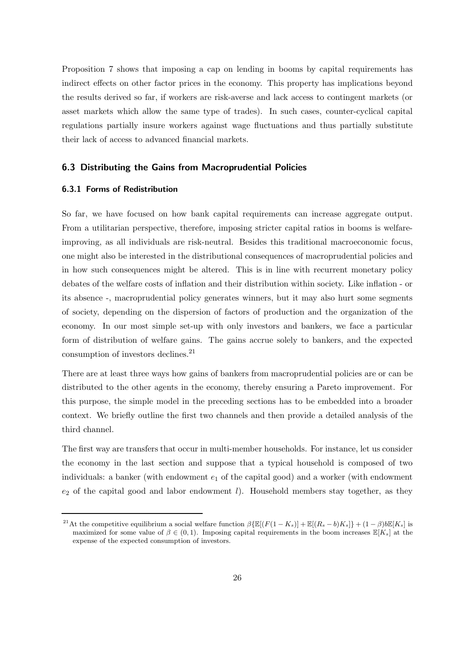Proposition 7 shows that imposing a cap on lending in booms by capital requirements has indirect effects on other factor prices in the economy. This property has implications beyond the results derived so far, if workers are risk-averse and lack access to contingent markets (or asset markets which allow the same type of trades). In such cases, counter-cyclical capital regulations partially insure workers against wage fluctuations and thus partially substitute their lack of access to advanced financial markets.

#### 6.3 Distributing the Gains from Macroprudential Policies

#### 6.3.1 Forms of Redistribution

So far, we have focused on how bank capital requirements can increase aggregate output. From a utilitarian perspective, therefore, imposing stricter capital ratios in booms is welfareimproving, as all individuals are risk-neutral. Besides this traditional macroeconomic focus, one might also be interested in the distributional consequences of macroprudential policies and in how such consequences might be altered. This is in line with recurrent monetary policy debates of the welfare costs of inflation and their distribution within society. Like inflation - or its absence -, macroprudential policy generates winners, but it may also hurt some segments of society, depending on the dispersion of factors of production and the organization of the economy. In our most simple set-up with only investors and bankers, we face a particular form of distribution of welfare gains. The gains accrue solely to bankers, and the expected consumption of investors declines.<sup>21</sup>

There are at least three ways how gains of bankers from macroprudential policies are or can be distributed to the other agents in the economy, thereby ensuring a Pareto improvement. For this purpose, the simple model in the preceding sections has to be embedded into a broader context. We briefly outline the first two channels and then provide a detailed analysis of the third channel.

The first way are transfers that occur in multi-member households. For instance, let us consider the economy in the last section and suppose that a typical household is composed of two individuals: a banker (with endowment  $e_1$  of the capital good) and a worker (with endowment  $e_2$  of the capital good and labor endowment *l*). Household members stay together, as they

<sup>&</sup>lt;sup>21</sup>At the competitive equilibrium a social welfare function  $\beta \{\mathbb{E}[(F(1-K_s)] + \mathbb{E}[(R_s-b)K_s]\} + (1-\beta)\mathbb{E}[K_s]$  is maximized for some value of  $\beta \in (0,1)$ . Imposing capital requirements in the boom increases  $\mathbb{E}[K_s]$  at the expense of the expected consumption of investors.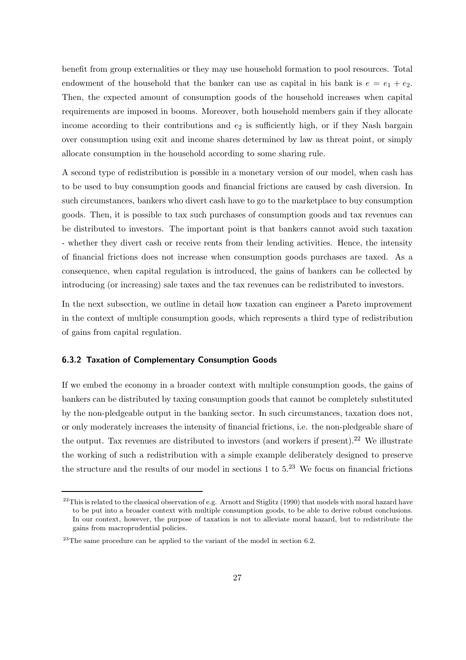benefit from group externalities or they may use household formation to pool resources. Total endowment of the household that the banker can use as capital in his bank is  $e = e_1 + e_2$ . Then, the expected amount of consumption goods of the household increases when capital requirements are imposed in booms. Moreover, both household members gain if they allocate income according to their contributions and  $e_2$  is sufficiently high, or if they Nash bargain over consumption using exit and income shares determined by law as threat point, or simply allocate consumption in the household according to some sharing rule.

A second type of redistribution is possible in a monetary version of our model, when cash has to be used to buy consumption goods and financial frictions are caused by cash diversion. In such circumstances, bankers who divert cash have to go to the marketplace to buy consumption goods. Then, it is possible to tax such purchases of consumption goods and tax revenues can be distributed to investors. The important point is that bankers cannot avoid such taxation - whether they divert cash or receive rents from their lending activities. Hence, the intensity of financial frictions does not increase when consumption goods purchases are taxed. As a consequence, when capital regulation is introduced, the gains of bankers can be collected by introducing (or increasing) sale taxes and the tax revenues can be redistributed to investors.

In the next subsection, we outline in detail how taxation can engineer a Pareto improvement in the context of multiple consumption goods, which represents a third type of redistribution of gains from capital regulation.

#### 6.3.2 Taxation of Complementary Consumption Goods

If we embed the economy in a broader context with multiple consumption goods, the gains of bankers can be distributed by taxing consumption goods that cannot be completely substituted by the non-pledgeable output in the banking sector. In such circumstances, taxation does not, or only moderately increases the intensity of financial frictions, i.e. the non-pledgeable share of the output. Tax revenues are distributed to investors (and workers if present).<sup>22</sup> We illustrate the working of such a redistribution with a simple example deliberately designed to preserve the structure and the results of our model in sections  $1$  to  $5.^{23}$  We focus on financial frictions

 $^{22}$ This is related to the classical observation of e.g. Arnott and Stiglitz (1990) that models with moral hazard have to be put into a broader context with multiple consumption goods, to be able to derive robust conclusions. In our context, however, the purpose of taxation is not to alleviate moral hazard, but to redistribute the gains from macroprudential policies.

 $^{23}$ The same procedure can be applied to the variant of the model in section 6.2.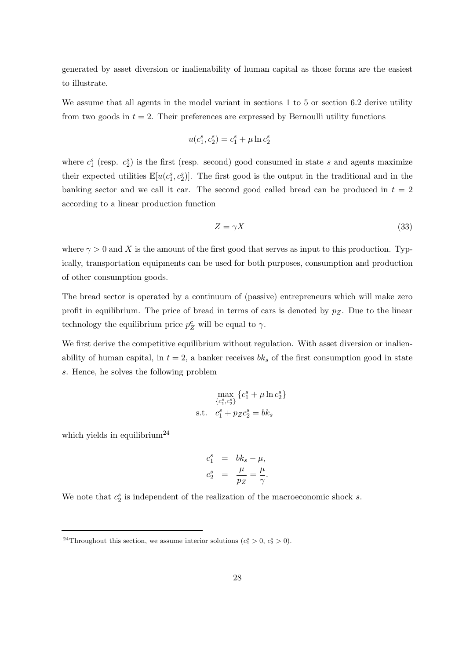generated by asset diversion or inalienability of human capital as those forms are the easiest to illustrate.

We assume that all agents in the model variant in sections 1 to 5 or section 6.2 derive utility from two goods in  $t = 2$ . Their preferences are expressed by Bernoulli utility functions

$$
u(c_1^s, c_2^s) = c_1^s + \mu \ln c_2^s
$$

where  $c_1^s$  (resp.  $c_2^s$ ) is the first (resp. second) good consumed in state s and agents maximize their expected utilities  $\mathbb{E}[u(c_1^s, c_2^s)]$ . The first good is the output in the traditional and in the banking sector and we call it car. The second good called bread can be produced in  $t = 2$ according to a linear production function

$$
Z = \gamma X \tag{33}
$$

where  $\gamma > 0$  and X is the amount of the first good that serves as input to this production. Typically, transportation equipments can be used for both purposes, consumption and production of other consumption goods.

The bread sector is operated by a continuum of (passive) entrepreneurs which will make zero profit in equilibrium. The price of bread in terms of cars is denoted by  $p_Z$ . Due to the linear technology the equilibrium price  $p_Z^c$  will be equal to  $\gamma$ .

We first derive the competitive equilibrium without regulation. With asset diversion or inalienability of human capital, in  $t = 2$ , a banker receives  $bk<sub>s</sub>$  of the first consumption good in state s. Hence, he solves the following problem

$$
\max_{\{c_1^s, c_2^s\}} \{c_1^s + \mu \ln c_2^s\}
$$
  
s.t.  $c_1^s + p_Z c_2^s = bk_s$ 

which yields in equilibrium<sup>24</sup>

$$
c_1^s = bk_s - \mu,
$$
  

$$
c_2^s = \frac{\mu}{pz} = \frac{\mu}{\gamma}.
$$

We note that  $c_2^s$  is independent of the realization of the macroeconomic shock s.

<sup>&</sup>lt;sup>24</sup>Throughout this section, we assume interior solutions  $(c_1^s > 0, c_2^s > 0)$ .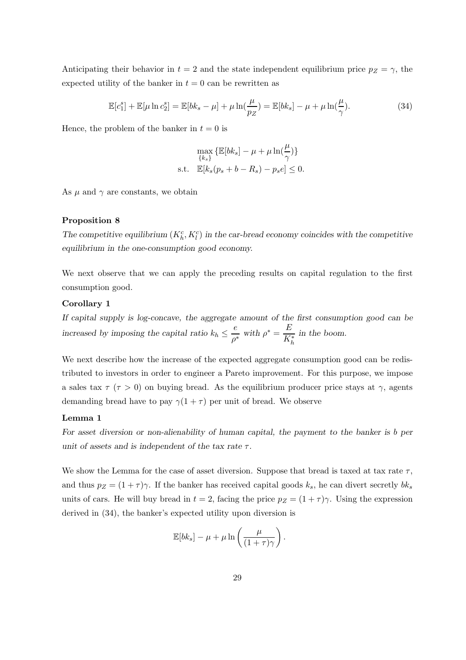Anticipating their behavior in  $t = 2$  and the state independent equilibrium price  $p_Z = \gamma$ , the expected utility of the banker in  $t = 0$  can be rewritten as

$$
\mathbb{E}[c_1^s] + \mathbb{E}[\mu \ln c_2^s] = \mathbb{E}[bk_s - \mu] + \mu \ln(\frac{\mu}{pz}) = \mathbb{E}[bk_s] - \mu + \mu \ln(\frac{\mu}{\gamma}). \tag{34}
$$

Hence, the problem of the banker in  $t = 0$  is

$$
\max_{\{k_s\}} \left\{ \mathbb{E}[bk_s] - \mu + \mu \ln(\frac{\mu}{\gamma}) \right\}
$$
  
s.t. 
$$
\mathbb{E}[k_s(p_s + b - R_s) - p_s e] \leq 0.
$$

As  $\mu$  and  $\gamma$  are constants, we obtain

#### Proposition 8

The competitive equilibrium  $(K_h^c, K_l^c)$  in the car-bread economy coincides with the competitive equilibrium in the one-consumption good economy.

We next observe that we can apply the preceding results on capital regulation to the first consumption good.

#### Corollary 1

If capital supply is log-concave, the aggregate amount of the first consumption good can be increased by imposing the capital ratio  $k_h \leq \frac{e}{e^{\lambda}}$  $\frac{e}{\rho^*}$  with  $\rho^* = \frac{E}{K_l^*}$  $K_h^*$ in the boom.

We next describe how the increase of the expected aggregate consumption good can be redistributed to investors in order to engineer a Pareto improvement. For this purpose, we impose a sales tax  $\tau$  ( $\tau > 0$ ) on buying bread. As the equilibrium producer price stays at  $\gamma$ , agents demanding bread have to pay  $\gamma(1+\tau)$  per unit of bread. We observe

#### Lemma 1

For asset diversion or non-alienability of human capital, the payment to the banker is b per unit of assets and is independent of the tax rate  $\tau$ .

We show the Lemma for the case of asset diversion. Suppose that bread is taxed at tax rate  $\tau$ , and thus  $p_Z = (1 + \tau)\gamma$ . If the banker has received capital goods  $k_s$ , he can divert secretly  $bk_s$ units of cars. He will buy bread in  $t = 2$ , facing the price  $p_Z = (1 + \tau)\gamma$ . Using the expression derived in (34), the banker's expected utility upon diversion is

$$
\mathbb{E}[bk_s] - \mu + \mu \ln \left( \frac{\mu}{(1+\tau)\gamma} \right).
$$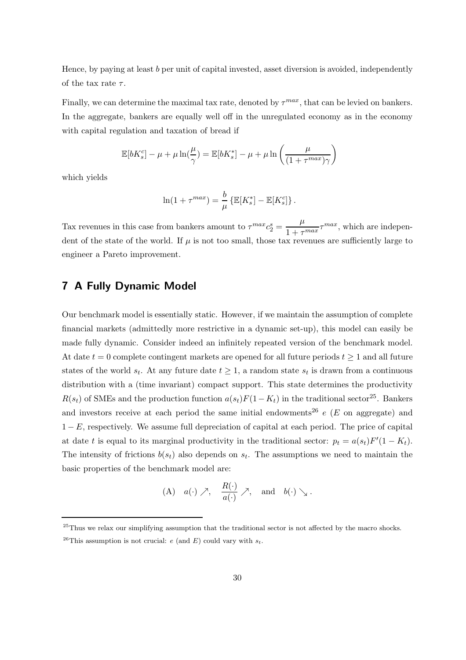Hence, by paying at least b per unit of capital invested, asset diversion is avoided, independently of the tax rate  $\tau$ .

Finally, we can determine the maximal tax rate, denoted by  $\tau^{max}$ , that can be levied on bankers. In the aggregate, bankers are equally well off in the unregulated economy as in the economy with capital regulation and taxation of bread if

$$
\mathbb{E}[bK_s^c] - \mu + \mu \ln(\frac{\mu}{\gamma}) = \mathbb{E}[bK_s^*] - \mu + \mu \ln\left(\frac{\mu}{(1 + \tau^{max})\gamma}\right)
$$

which yields

$$
\ln(1+\tau^{max})=\frac{b}{\mu}\left\{\mathbb{E}[K_s^*]-\mathbb{E}[K_s^c]\right\}.
$$

Tax revenues in this case from bankers amount to  $\tau^{max} c_2^s = \frac{\mu}{1 + \tau^s}$  $\frac{\mu}{1 + \tau^{max}} \tau^{max}$ , which are independent of the state of the world. If  $\mu$  is not too small, those tax revenues are sufficiently large to engineer a Pareto improvement.

## 7 A Fully Dynamic Model

Our benchmark model is essentially static. However, if we maintain the assumption of complete financial markets (admittedly more restrictive in a dynamic set-up), this model can easily be made fully dynamic. Consider indeed an infinitely repeated version of the benchmark model. At date  $t = 0$  complete contingent markets are opened for all future periods  $t \ge 1$  and all future states of the world  $s_t$ . At any future date  $t \geq 1$ , a random state  $s_t$  is drawn from a continuous distribution with a (time invariant) compact support. This state determines the productivity  $R(s_t)$  of SMEs and the production function  $a(s_t)F(1 - K_t)$  in the traditional sector<sup>25</sup>. Bankers and investors receive at each period the same initial endowments<sup>26</sup> e (E on aggregate) and  $1 - E$ , respectively. We assume full depreciation of capital at each period. The price of capital at date t is equal to its marginal productivity in the traditional sector:  $p_t = a(s_t)F'(1 - K_t)$ . The intensity of frictions  $b(s_t)$  also depends on  $s_t$ . The assumptions we need to maintain the basic properties of the benchmark model are:

(A) 
$$
a(\cdot) \nearrow
$$
,  $\frac{R(\cdot)}{a(\cdot)} \nearrow$ , and  $b(\cdot) \searrow$ .

<sup>&</sup>lt;sup>25</sup>Thus we relax our simplifying assumption that the traditional sector is not affected by the macro shocks.

<sup>&</sup>lt;sup>26</sup>This assumption is not crucial: e (and E) could vary with  $s_t$ .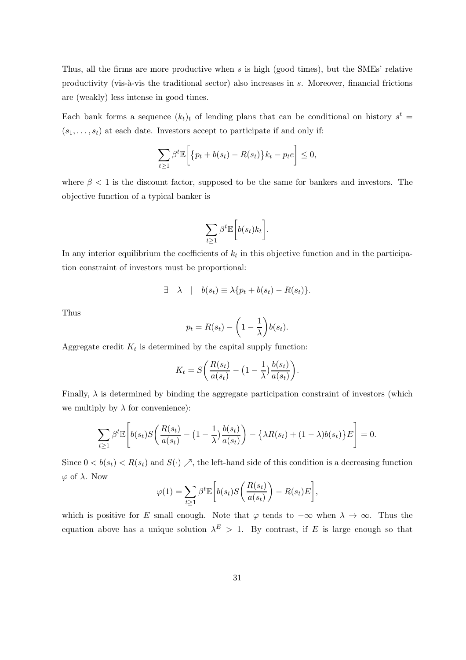Thus, all the firms are more productive when s is high (good times), but the SMEs' relative productivity (vis-à-vis the traditional sector) also increases in s. Moreover, financial frictions are (weakly) less intense in good times.

Each bank forms a sequence  $(k_t)_t$  of lending plans that can be conditional on history  $s^t$  $(s_1, \ldots, s_t)$  at each date. Investors accept to participate if and only if:

$$
\sum_{t\geq 1} \beta^t \mathbb{E}\bigg[\big\{p_t + b(s_t) - R(s_t)\big\} k_t - p_t e\bigg] \leq 0,
$$

where  $\beta$  < 1 is the discount factor, supposed to be the same for bankers and investors. The objective function of a typical banker is

$$
\sum_{t\geq 1}\beta^t\mathbb{E}\bigg[b(s_t)k_t\bigg].
$$

In any interior equilibrium the coefficients of  $k_t$  in this objective function and in the participation constraint of investors must be proportional:

$$
\exists \quad \lambda \quad | \quad b(s_t) \equiv \lambda \{ p_t + b(s_t) - R(s_t) \}.
$$

Thus

$$
p_t = R(s_t) - \left(1 - \frac{1}{\lambda}\right)b(s_t).
$$

Aggregate credit  $K_t$  is determined by the capital supply function:

$$
K_t = S\bigg(\frac{R(s_t)}{a(s_t)} - \big(1 - \frac{1}{\lambda}\big)\frac{b(s_t)}{a(s_t)}\bigg).
$$

Finally,  $\lambda$  is determined by binding the aggregate participation constraint of investors (which we multiply by  $\lambda$  for convenience):

$$
\sum_{t\geq 1} \beta^t \mathbb{E}\left[b(s_t)S\left(\frac{R(s_t)}{a(s_t)} - \left(1 - \frac{1}{\lambda}\right)\frac{b(s_t)}{a(s_t)}\right) - \left\{\lambda R(s_t) + (1-\lambda)b(s_t)\right\}E\right] = 0.
$$

Since  $0 < b(s_t) < R(s_t)$  and  $S(\cdot) \nearrow$ , the left-hand side of this condition is a decreasing function  $\varphi$  of  $\lambda$ . Now

$$
\varphi(1) = \sum_{t \ge 1} \beta^t \mathbb{E}\bigg[b(s_t) S\bigg(\frac{R(s_t)}{a(s_t)}\bigg) - R(s_t) E\bigg],
$$

which is positive for E small enough. Note that  $\varphi$  tends to  $-\infty$  when  $\lambda \to \infty$ . Thus the equation above has a unique solution  $\lambda^E > 1$ . By contrast, if E is large enough so that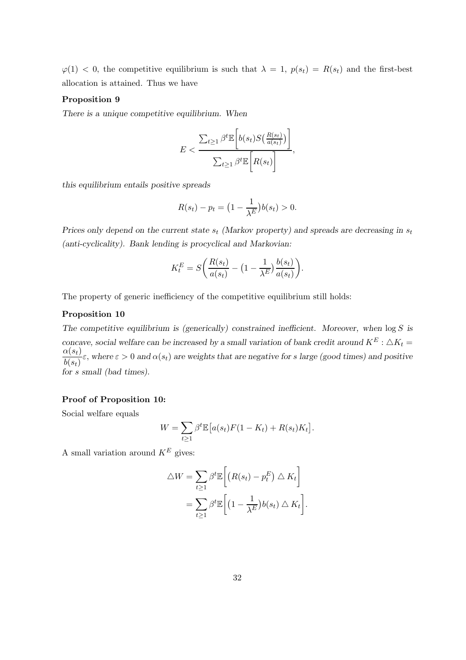$\varphi(1)$  < 0, the competitive equilibrium is such that  $\lambda = 1$ ,  $p(s_t) = R(s_t)$  and the first-best allocation is attained. Thus we have

#### Proposition 9

There is a unique competitive equilibrium. When

$$
E < \frac{\sum_{t \ge 1} \beta^t \mathbb{E}\left[b(s_t) S\left(\frac{R(s_t)}{a(s_t)}\right)\right]}{\sum_{t \ge 1} \beta^t \mathbb{E}\left[R(s_t)\right]},
$$

this equilibrium entails positive spreads

$$
R(s_t) - p_t = \left(1 - \frac{1}{\lambda^E}\right)b(s_t) > 0.
$$

Prices only depend on the current state  $s_t$  (Markov property) and spreads are decreasing in  $s_t$ (anti-cyclicality). Bank lending is procyclical and Markovian:

$$
K_t^E = S\bigg(\frac{R(s_t)}{a(s_t)} - \big(1 - \frac{1}{\lambda^E}\big)\frac{b(s_t)}{a(s_t)}\bigg).
$$

The property of generic inefficiency of the competitive equilibrium still holds:

#### Proposition 10

The competitive equilibrium is (generically) constrained inefficient. Moreover, when  $\log S$  is concave, social welfare can be increased by a small variation of bank credit around  $K^E: \triangle K_t =$  $\alpha(s_t)$  $\frac{\partial \alpha(v_t)}{\partial(s_t)}\varepsilon$ , where  $\varepsilon > 0$  and  $\alpha(s_t)$  are weights that are negative for s large (good times) and positive for s small (bad times).

#### Proof of Proposition 10:

Social welfare equals

$$
W = \sum_{t \ge 1} \beta^t \mathbb{E} \big[ a(s_t) F(1 - K_t) + R(s_t) K_t \big].
$$

A small variation around  $K^E$  gives:

$$
\triangle W = \sum_{t \ge 1} \beta^t \mathbb{E} \left[ \left( R(s_t) - p_t^E \right) \triangle K_t \right]
$$
  
= 
$$
\sum_{t \ge 1} \beta^t \mathbb{E} \left[ \left( 1 - \frac{1}{\lambda^E} \right) b(s_t) \triangle K_t \right].
$$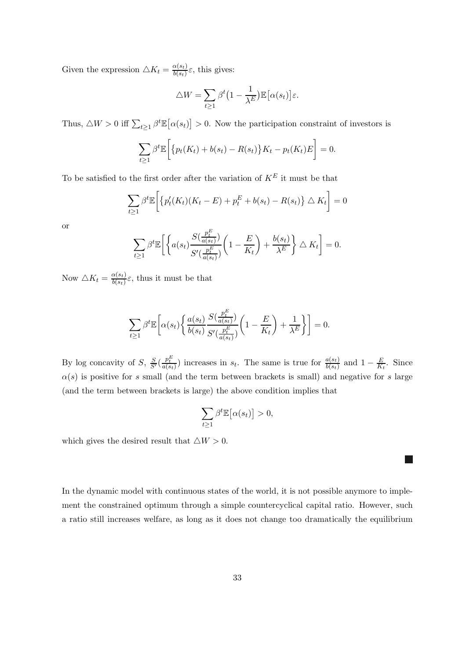Given the expression  $\triangle K_t = \frac{\alpha(s_t)}{b(s_t)}$  $\frac{\alpha(s_t)}{b(s_t)}\varepsilon$ , this gives:

$$
\triangle W = \sum_{t \ge 1} \beta^t \left( 1 - \frac{1}{\lambda^E} \right) \mathbb{E} \left[ \alpha(s_t) \right] \varepsilon.
$$

Thus,  $\Delta W > 0$  iff  $\sum_{t \geq 1} \beta^t \mathbb{E} [\alpha(s_t)] > 0$ . Now the participation constraint of investors is

$$
\sum_{t\geq 1} \beta^t \mathbb{E}\bigg[\big\{p_t(K_t) + b(s_t) - R(s_t)\big\}K_t - p_t(K_t)E\bigg] = 0.
$$

To be satisfied to the first order after the variation of  ${\cal K}^E$  it must be that

$$
\sum_{t\geq 1} \beta^t \mathbb{E}\bigg[\big\{p_t'(K_t)(K_t - E) + p_t^E + b(s_t) - R(s_t)\big\} \triangle K_t\bigg] = 0
$$

or

$$
\sum_{t\geq 1} \beta^t \mathbb{E}\left[\left\{a(s_t)\frac{S(\frac{p_t^E}{a(s_t)})}{S'(\frac{p_t^E}{a(s_t)})}\left(1-\frac{E}{K_t}\right)+\frac{b(s_t)}{\lambda^E}\right\}\triangle K_t\right]=0.
$$

Now  $\triangle K_t = \frac{\alpha(s_t)}{b(s_t)}$  $\frac{\partial (st)}{\partial (s_t)}\varepsilon$ , thus it must be that

$$
\sum_{t\geq 1} \beta^t \mathbb{E}\bigg[\alpha(s_t) \bigg\{ \frac{a(s_t)}{b(s_t)} \frac{S(\frac{p_t^E}{a(s_t)})}{S'(\frac{p_t^E}{a(s_t)})} \bigg(1 - \frac{E}{K_t}\bigg) + \frac{1}{\lambda^E} \bigg\} \bigg] = 0.
$$

By log concavity of S,  $\frac{S}{S'}(\frac{p_t^E}{a(s_t)})$  increases in  $s_t$ . The same is true for  $\frac{a(s_t)}{b(s_t)}$  and  $1-\frac{E}{K_s}$  $\frac{E}{K_t}$ . Since  $\alpha(s)$  is positive for s small (and the term between brackets is small) and negative for s large (and the term between brackets is large) the above condition implies that

$$
\sum_{t\geq 1}\beta^t\mathbb{E}\big[\alpha(s_t)\big]>0,
$$

which gives the desired result that  $\triangle W > 0$ .

In the dynamic model with continuous states of the world, it is not possible anymore to implement the constrained optimum through a simple countercyclical capital ratio. However, such a ratio still increases welfare, as long as it does not change too dramatically the equilibrium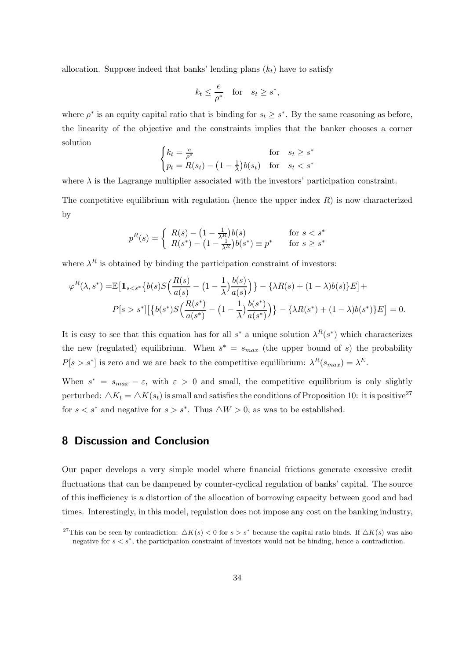allocation. Suppose indeed that banks' lending plans  $(k<sub>t</sub>)$  have to satisfy

$$
k_t \le \frac{e}{\rho^*} \quad \text{for} \quad s_t \ge s^*,
$$

where  $\rho^*$  is an equity capital ratio that is binding for  $s_t \geq s^*$ . By the same reasoning as before, the linearity of the objective and the constraints implies that the banker chooses a corner solution

$$
\begin{cases} k_t = \frac{e}{\rho^*} & \text{for} \quad s_t \ge s^*\\ p_t = R(s_t) - \left(1 - \frac{1}{\lambda}\right)b(s_t) & \text{for} \quad s_t < s^* \end{cases}
$$

where  $\lambda$  is the Lagrange multiplier associated with the investors' participation constraint.

The competitive equilibrium with regulation (hence the upper index  $R$ ) is now characterized by

$$
p^{R}(s) = \begin{cases} R(s) - (1 - \frac{1}{\lambda^{R}})b(s) & \text{for } s < s^{*} \\ R(s^{*}) - (1 - \frac{1}{\lambda^{R}})b(s^{*}) \equiv p^{*} & \text{for } s \ge s^{*} \end{cases}
$$

where  $\lambda^R$  is obtained by binding the participation constraint of investors:

$$
\varphi^{R}(\lambda, s^{*}) = \mathbb{E}\left[\mathbb{1}_{s  

$$
P[s > s^{*}]\left[\left\{b(s^{*})S\left(\frac{R(s^{*})}{a(s^{*})} - \left(1 - \frac{1}{\lambda}\right)\frac{b(s^{*})}{a(s^{*})}\right)\right\} - \left\{\lambda R(s^{*}) + (1 - \lambda)b(s^{*})\right\}E\right] = 0.
$$
$$

It is easy to see that this equation has for all  $s^*$  a unique solution  $\lambda^R(s^*)$  which characterizes the new (regulated) equilibrium. When  $s^* = s_{max}$  (the upper bound of s) the probability  $P[s > s^*]$  is zero and we are back to the competitive equilibrium:  $\lambda^R(s_{max}) = \lambda^E$ .

When  $s^* = s_{max} - \varepsilon$ , with  $\varepsilon > 0$  and small, the competitive equilibrium is only slightly perturbed:  $\Delta K_t = \Delta K(s_t)$  is small and satisfies the conditions of Proposition 10: it is positive<sup>27</sup> for  $s < s^*$  and negative for  $s > s^*$ . Thus  $\triangle W > 0$ , as was to be established.

# 8 Discussion and Conclusion

Our paper develops a very simple model where financial frictions generate excessive credit fluctuations that can be dampened by counter-cyclical regulation of banks' capital. The source of this inefficiency is a distortion of the allocation of borrowing capacity between good and bad times. Interestingly, in this model, regulation does not impose any cost on the banking industry,

<sup>&</sup>lt;sup>27</sup>This can be seen by contradiction:  $\Delta K(s) < 0$  for  $s > s^*$  because the capital ratio binds. If  $\Delta K(s)$  was also negative for  $s < s^*$ , the participation constraint of investors would not be binding, hence a contradiction.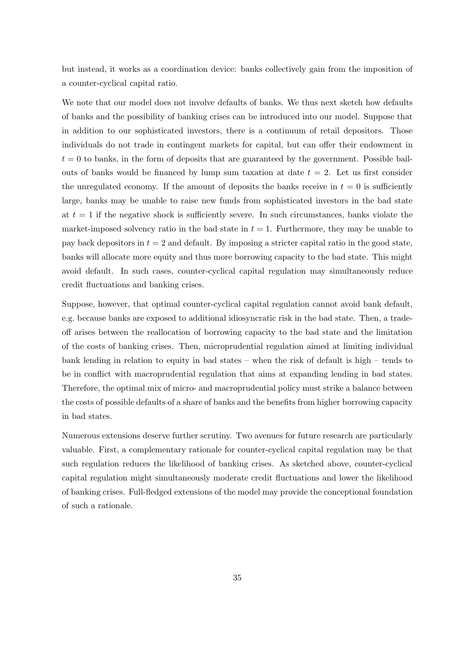but instead, it works as a coordination device: banks collectively gain from the imposition of a counter-cyclical capital ratio.

We note that our model does not involve defaults of banks. We thus next sketch how defaults of banks and the possibility of banking crises can be introduced into our model. Suppose that in addition to our sophisticated investors, there is a continuum of retail depositors. Those individuals do not trade in contingent markets for capital, but can offer their endowment in  $t = 0$  to banks, in the form of deposits that are guaranteed by the government. Possible bailouts of banks would be financed by lump sum taxation at date  $t = 2$ . Let us first consider the unregulated economy. If the amount of deposits the banks receive in  $t = 0$  is sufficiently large, banks may be unable to raise new funds from sophisticated investors in the bad state at  $t = 1$  if the negative shock is sufficiently severe. In such circumstances, banks violate the market-imposed solvency ratio in the bad state in  $t = 1$ . Furthermore, they may be unable to pay back depositors in  $t = 2$  and default. By imposing a stricter capital ratio in the good state, banks will allocate more equity and thus more borrowing capacity to the bad state. This might avoid default. In such cases, counter-cyclical capital regulation may simultaneously reduce credit fluctuations and banking crises.

Suppose, however, that optimal counter-cyclical capital regulation cannot avoid bank default, e.g. because banks are exposed to additional idiosyncratic risk in the bad state. Then, a tradeoff arises between the reallocation of borrowing capacity to the bad state and the limitation of the costs of banking crises. Then, microprudential regulation aimed at limiting individual bank lending in relation to equity in bad states – when the risk of default is high – tends to be in conflict with macroprudential regulation that aims at expanding lending in bad states. Therefore, the optimal mix of micro- and macroprudential policy must strike a balance between the costs of possible defaults of a share of banks and the benefits from higher borrowing capacity in bad states.

Numerous extensions deserve further scrutiny. Two avenues for future research are particularly valuable. First, a complementary rationale for counter-cyclical capital regulation may be that such regulation reduces the likelihood of banking crises. As sketched above, counter-cyclical capital regulation might simultaneously moderate credit fluctuations and lower the likelihood of banking crises. Full-fledged extensions of the model may provide the conceptional foundation of such a rationale.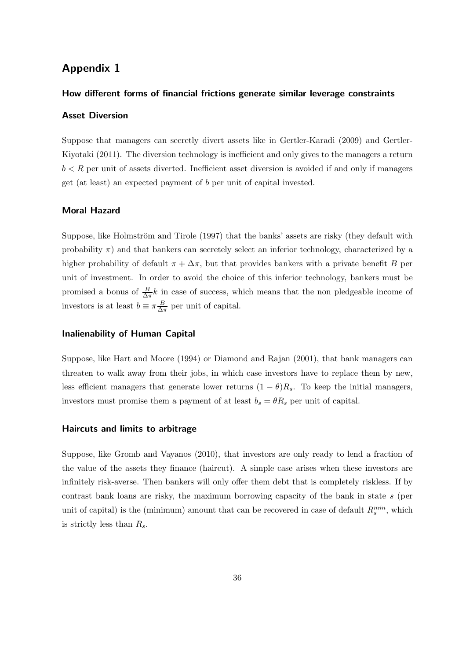# Appendix 1

#### How different forms of financial frictions generate similar leverage constraints

### Asset Diversion

Suppose that managers can secretly divert assets like in Gertler-Karadi (2009) and Gertler-Kiyotaki (2011). The diversion technology is inefficient and only gives to the managers a return  $b < R$  per unit of assets diverted. Inefficient asset diversion is avoided if and only if managers get (at least) an expected payment of b per unit of capital invested.

#### Moral Hazard

Suppose, like Holmström and Tirole (1997) that the banks' assets are risky (they default with probability  $\pi$ ) and that bankers can secretely select an inferior technology, characterized by a higher probability of default  $\pi + \Delta \pi$ , but that provides bankers with a private benefit B per unit of investment. In order to avoid the choice of this inferior technology, bankers must be promised a bonus of  $\frac{B}{\Delta \pi} k$  in case of success, which means that the non pledgeable income of investors is at least  $b \equiv \pi \frac{B}{\Delta t}$  $\frac{B}{\Delta \pi}$  per unit of capital.

#### Inalienability of Human Capital

Suppose, like Hart and Moore (1994) or Diamond and Rajan (2001), that bank managers can threaten to walk away from their jobs, in which case investors have to replace them by new, less efficient managers that generate lower returns  $(1 - \theta)R_s$ . To keep the initial managers, investors must promise them a payment of at least  $b_s = \theta R_s$  per unit of capital.

#### Haircuts and limits to arbitrage

Suppose, like Gromb and Vayanos (2010), that investors are only ready to lend a fraction of the value of the assets they finance (haircut). A simple case arises when these investors are infinitely risk-averse. Then bankers will only offer them debt that is completely riskless. If by contrast bank loans are risky, the maximum borrowing capacity of the bank in state s (per unit of capital) is the (minimum) amount that can be recovered in case of default  $R_s^{min}$ , which is strictly less than  $R_s$ .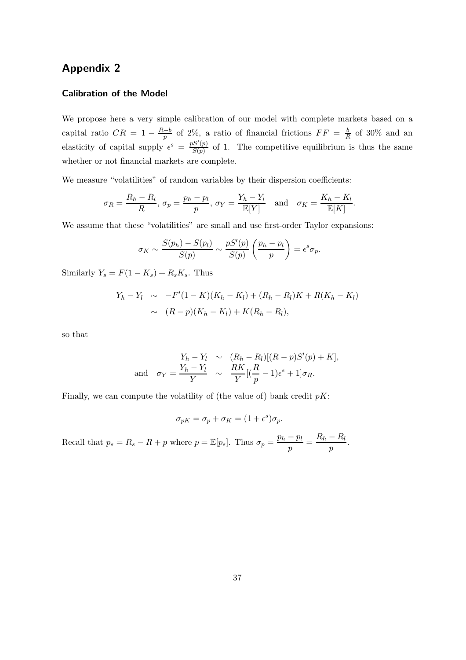# Appendix 2

#### Calibration of the Model

We propose here a very simple calibration of our model with complete markets based on a capital ratio  $CR = 1 - \frac{R-b}{p}$  of 2%, a ratio of financial frictions  $FF = \frac{b}{R}$  $\frac{b}{R}$  of 30% and an elasticity of capital supply  $\epsilon^{s} = \frac{pS'(p)}{S(p)}$  $\frac{S(p)}{S(p)}$  of 1. The competitive equilibrium is thus the same whether or not financial markets are complete.

We measure "volatilities" of random variables by their dispersion coefficients:

$$
\sigma_R = \frac{R_h - R_l}{R}, \ \sigma_p = \frac{p_h - p_l}{p}, \ \sigma_Y = \frac{Y_h - Y_l}{\mathbb{E}[Y]} \quad \text{and} \quad \sigma_K = \frac{K_h - K_l}{\mathbb{E}[K]}.
$$

We assume that these "volatilities" are small and use first-order Taylor expansions:

$$
\sigma_K \sim \frac{S(p_h) - S(p_l)}{S(p)} \sim \frac{pS'(p)}{S(p)} \left(\frac{p_h - p_l}{p}\right) = \epsilon^s \sigma_p.
$$

Similarly  $Y_s = F(1 - K_s) + R_s K_s$ . Thus

$$
Y_h - Y_l \sim -F'(1 - K)(K_h - K_l) + (R_h - R_l)K + R(K_h - K_l)
$$
  
 
$$
\sim (R - p)(K_h - K_l) + K(R_h - R_l),
$$

so that

$$
Y_h - Y_l \sim (R_h - R_l)[(R - p)S'(p) + K],
$$
  
and 
$$
\sigma_Y = \frac{Y_h - Y_l}{Y} \sim \frac{RK}{Y}[(\frac{R}{p} - 1)\epsilon^s + 1]\sigma_R.
$$

Finally, we can compute the volatility of (the value of) bank credit  $pK$ :

$$
\sigma_{pK} = \sigma_p + \sigma_K = (1 + \epsilon^s)\sigma_p.
$$

Recall that  $p_s = R_s - R + p$  where  $p = \mathbb{E}[p_s]$ . Thus  $\sigma_p = \frac{p_h - p_l}{n}$  $\frac{p-p_l}{p} = \frac{R_h - R_l}{p}$  $\frac{1}{p}$ .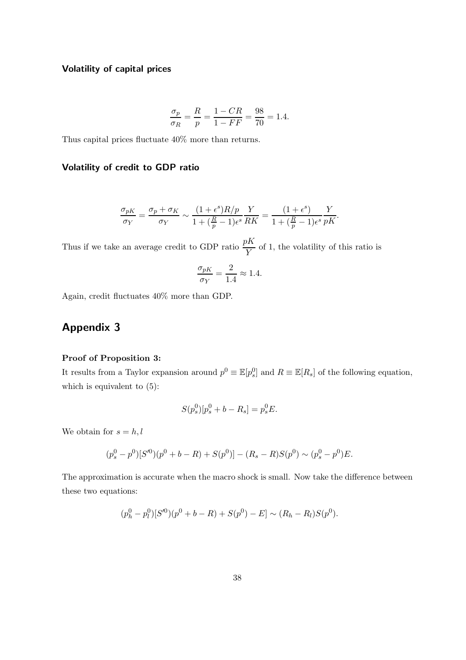### Volatility of capital prices

$$
\frac{\sigma_p}{\sigma_R} = \frac{R}{p} = \frac{1 - CR}{1 - FF} = \frac{98}{70} = 1.4.
$$

Thus capital prices fluctuate 40% more than returns.

### Volatility of credit to GDP ratio

$$
\frac{\sigma_{pK}}{\sigma_Y} = \frac{\sigma_p + \sigma_K}{\sigma_Y} \sim \frac{(1+\epsilon^s)R/p}{1 + (\frac{R}{p} - 1)\epsilon^s} \frac{Y}{RK} = \frac{(1+\epsilon^s)}{1 + (\frac{R}{p} - 1)\epsilon^s} \frac{Y}{pK}.
$$

Thus if we take an average credit to GDP ratio  $\frac{pK}{Y}$  of 1, the volatility of this ratio is

$$
\frac{\sigma_{pK}}{\sigma_Y} = \frac{2}{1.4} \approx 1.4.
$$

Again, credit fluctuates 40% more than GDP.

# Appendix 3

#### Proof of Proposition 3:

It results from a Taylor expansion around  $p^0 \equiv \mathbb{E}[p^0_s]$  and  $R \equiv \mathbb{E}[R_s]$  of the following equation, which is equivalent to (5):

$$
S(p_s^0)[p_s^0 + b - R_s] = p_s^0 E.
$$

We obtain for  $s = h, l$ 

$$
(p_s^0 - p^0)[S'^0](p^0 + b - R) + S(p^0)] - (R_s - R)S(p^0) \sim (p_s^0 - p^0)E.
$$

The approximation is accurate when the macro shock is small. Now take the difference between these two equations:

$$
(p_h^0 - p_l^0)[S^{\prime 0})(p^0 + b - R) + S(p^0) - E] \sim (R_h - R_l)S(p^0).
$$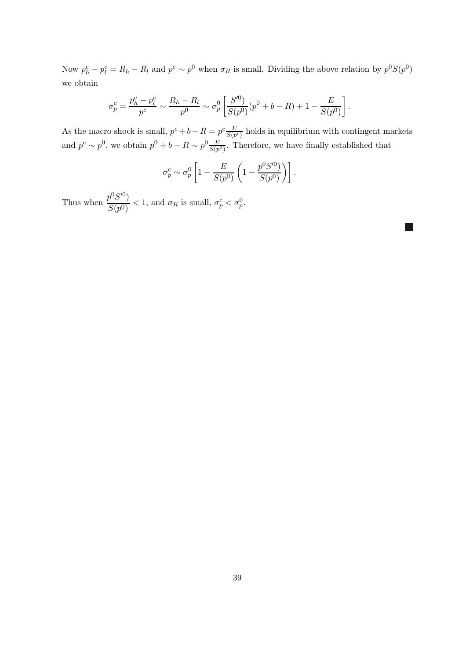Now  $p_h^c - p_l^c = R_h - R_l$  and  $p^c \sim p^0$  when  $\sigma_R$  is small. Dividing the above relation by  $p^0 S(p^0)$ we obtain

$$
\sigma_p^c = \frac{p_h^c - p_l^c}{p^c} \sim \frac{R_h - R_l}{p^0} \sim \sigma_p^0 \left[ \frac{S'^0}{S(p^0)} (p^0 + b - R) + 1 - \frac{E}{S(p^0)} \right].
$$

As the macro shock is small,  $p^c + b - R = p^c \frac{E}{S(n)}$  $\frac{E}{S(p^c)}$  holds in equilibrium with contingent markets and  $p^c \sim p^0$ , we obtain  $p^0 + b - R \sim p^0 \frac{E}{S(n)}$  $\frac{E}{S(p^0)}$ . Therefore, we have finally established that

$$
\sigma_p^c \sim \sigma_p^0 \left[ 1 - \frac{E}{S(p^0)} \left( 1 - \frac{p^0 S'^0}{S(p^0)} \right) \right].
$$

Thus when  $\frac{p^0 S^{\prime 0})}{G(\sqrt{0})}$  $\frac{\partial^2 D}{\partial S(p^0)} < 1$ , and  $\sigma_R$  is small,  $\sigma_p^c < \sigma_p^0$ .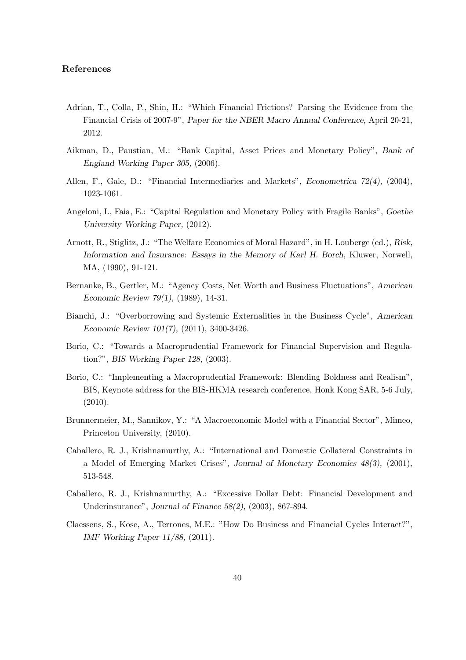#### References

- Adrian, T., Colla, P., Shin, H.: "Which Financial Frictions? Parsing the Evidence from the Financial Crisis of 2007-9", Paper for the NBER Macro Annual Conference, April 20-21, 2012.
- Aikman, D., Paustian, M.: "Bank Capital, Asset Prices and Monetary Policy", Bank of England Working Paper 305, (2006).
- Allen, F., Gale, D.: "Financial Intermediaries and Markets", Econometrica 72(4), (2004), 1023-1061.
- Angeloni, I., Faia, E.: "Capital Regulation and Monetary Policy with Fragile Banks", Goethe University Working Paper, (2012).
- Arnott, R., Stiglitz, J.: "The Welfare Economics of Moral Hazard", in H. Louberge (ed.), Risk, Information and Insurance: Essays in the Memory of Karl H. Borch, Kluwer, Norwell, MA, (1990), 91-121.
- Bernanke, B., Gertler, M.: "Agency Costs, Net Worth and Business Fluctuations", American Economic Review 79(1), (1989), 14-31.
- Bianchi, J.: "Overborrowing and Systemic Externalities in the Business Cycle", American Economic Review 101(7), (2011), 3400-3426.
- Borio, C.: "Towards a Macroprudential Framework for Financial Supervision and Regulation?", BIS Working Paper 128, (2003).
- Borio, C.: "Implementing a Macroprudential Framework: Blending Boldness and Realism", BIS, Keynote address for the BIS-HKMA research conference, Honk Kong SAR, 5-6 July, (2010).
- Brunnermeier, M., Sannikov, Y.: "A Macroeconomic Model with a Financial Sector", Mimeo, Princeton University, (2010).
- Caballero, R. J., Krishnamurthy, A.: "International and Domestic Collateral Constraints in a Model of Emerging Market Crises", Journal of Monetary Economics 48(3), (2001), 513-548.
- Caballero, R. J., Krishnamurthy, A.: "Excessive Dollar Debt: Financial Development and Underinsurance", Journal of Finance 58(2), (2003), 867-894.
- Claessens, S., Kose, A., Terrones, M.E.: "How Do Business and Financial Cycles Interact?", IMF Working Paper 11/88, (2011).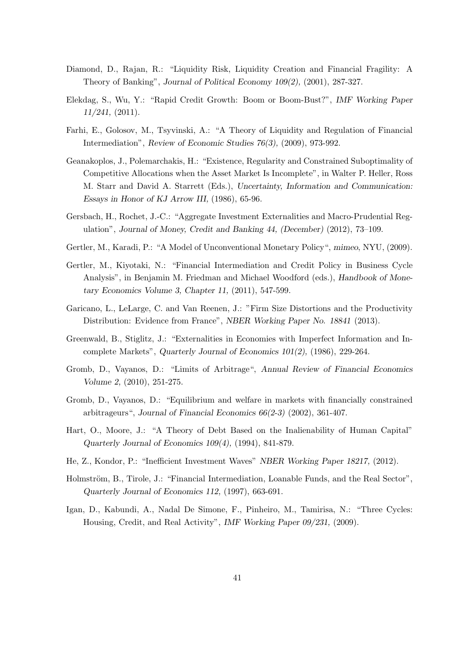- Diamond, D., Rajan, R.: "Liquidity Risk, Liquidity Creation and Financial Fragility: A Theory of Banking", Journal of Political Economy 109(2), (2001), 287-327.
- Elekdag, S., Wu, Y.: "Rapid Credit Growth: Boom or Boom-Bust?", IMF Working Paper 11/241, (2011).
- Farhi, E., Golosov, M., Tsyvinski, A.: "A Theory of Liquidity and Regulation of Financial Intermediation", Review of Economic Studies 76(3), (2009), 973-992.
- Geanakoplos, J., Polemarchakis, H.: "Existence, Regularity and Constrained Suboptimality of Competitive Allocations when the Asset Market Is Incomplete", in Walter P. Heller, Ross M. Starr and David A. Starrett (Eds.), Uncertainty, Information and Communication: Essays in Honor of KJ Arrow III, (1986), 65-96.
- Gersbach, H., Rochet, J.-C.: "Aggregate Investment Externalities and Macro-Prudential Regulation", Journal of Money, Credit and Banking 44, (December) (2012), 73–109.
- Gertler, M., Karadi, P.: "A Model of Unconventional Monetary Policy", mimeo, NYU, (2009).
- Gertler, M., Kiyotaki, N.: "Financial Intermediation and Credit Policy in Business Cycle Analysis", in Benjamin M. Friedman and Michael Woodford (eds.), Handbook of Monetary Economics Volume 3, Chapter 11, (2011), 547-599.
- Garicano, L., LeLarge, C. and Van Reenen, J.: "Firm Size Distortions and the Productivity Distribution: Evidence from France", NBER Working Paper No. 18841 (2013).
- Greenwald, B., Stiglitz, J.: "Externalities in Economies with Imperfect Information and Incomplete Markets", Quarterly Journal of Economics 101(2), (1986), 229-264.
- Gromb, D., Vayanos, D.: "Limits of Arbitrage", Annual Review of Financial Economics Volume 2, (2010), 251-275.
- Gromb, D., Vayanos, D.: "Equilibrium and welfare in markets with financially constrained arbitrageurs", Journal of Financial Economics 66(2-3) (2002), 361-407.
- Hart, O., Moore, J.: "A Theory of Debt Based on the Inalienability of Human Capital" Quarterly Journal of Economics 109(4), (1994), 841-879.
- He, Z., Kondor, P.: "Inefficient Investment Waves" NBER Working Paper 18217, (2012).
- Holmström, B., Tirole, J.: "Financial Intermediation, Loanable Funds, and the Real Sector", Quarterly Journal of Economics 112, (1997), 663-691.
- Igan, D., Kabundi, A., Nadal De Simone, F., Pinheiro, M., Tamirisa, N.: "Three Cycles: Housing, Credit, and Real Activity", IMF Working Paper 09/231, (2009).